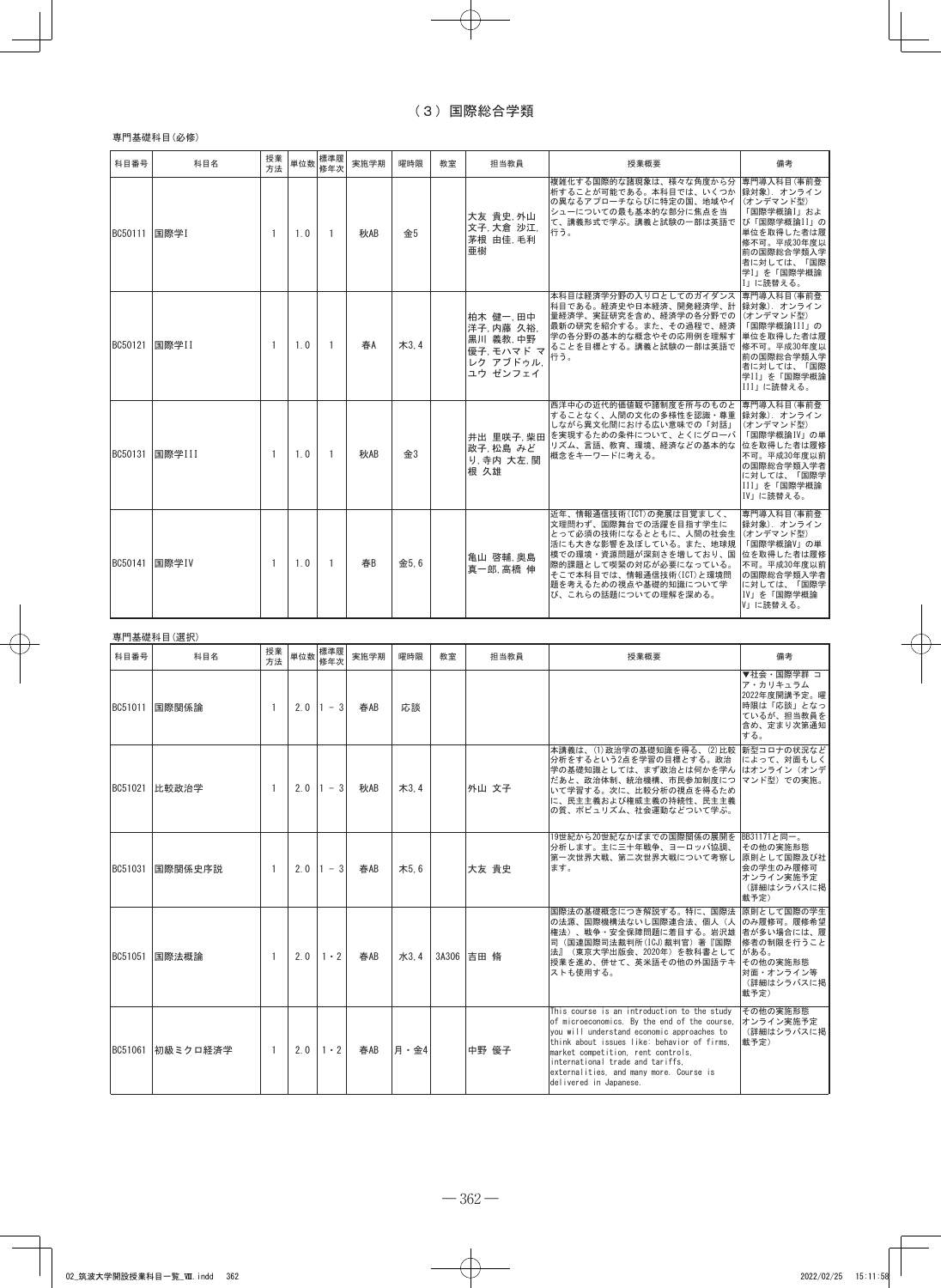## 専門基礎科目(必修)

| 科目番号         | 科目名    | 授業<br>方法       | 単位数 | 標準履<br>修年次     | 実施学期 | 曜時限       | 教室 | 担当教員                                                                    | 授業概要                                                                                                                                                                                                                                   | 備考                                                                                                                                          |
|--------------|--------|----------------|-----|----------------|------|-----------|----|-------------------------------------------------------------------------|----------------------------------------------------------------------------------------------------------------------------------------------------------------------------------------------------------------------------------------|---------------------------------------------------------------------------------------------------------------------------------------------|
| BC50111 国際学I |        | $\mathbf{1}$   | 1.0 | $\overline{1}$ | 秋AB  | 金5        |    | 大友 貴史 外山<br>文子. 大倉 沙江.<br>茅根 由佳,毛利<br>亜樹                                | 複雑化する国際的な諸現象は、様々な角度から分 専門導入科目(事前登<br>析することが可能である。本科目では、いくつか 録対象). オンライン<br>の異なるアプローチならびに特定の国、地域やイ<br>シューについての最も基本的な部分に焦点を当<br>て、講義形式で学ぶ。講義と試験の一部は英語で<br>行う。                                                                            | (オンデマンド型)<br>「国際学概論I」およ<br>び「国際学概論II」の<br>単位を取得した者は履<br>修不可。平成30年度以<br>前の国際総合学類入学<br>者に対しては、「国際<br>学I」を「国際学概論<br>Ⅰ」に読替える。                   |
| BC50121      | 国際学II  | $\mathbf{1}$   | 1.0 | -1             | 春A   | $\pi$ 3.4 |    | 柏木 健一,田中<br>洋子 内藤 久裕.<br>黒川 義教,中野<br>優子 モハマド マ<br>レク アブドゥル.<br>ユウ ゼンフェイ | 本科目は経済学分野の入り口としてのガイダンス<br>科目である。経済史や日本経済、開発経済学、計<br>量経済学、実証研究を含め、経済学の各分野での<br>最新の研究を紹介する。また、その過程で、経済<br>学の各分野の基本的な概念やその応用例を理解す<br>ることを目標とする。講義と試験の一部は英語で<br>行う。                                                                        | 専門導入科目(事前登<br>録対象). オンライン<br>(オンデマンド型)<br>「国際学概論III」の<br>単位を取得した者は履<br>修不可。平成30年度以<br>前の国際総合学類入学<br>者に対しては、「国際<br>学II」を「国際学概論<br>III」に読替える。 |
| BC50131      | 国際学III | $\mathbf{1}$   | 1.0 | -1             | 秋AB  | 金3        |    | 政子 松島 みど<br>り. 寺内 大左, 関<br>根 久雄                                         | 西洋中心の近代的価値観や諸制度を所与のものと<br>することなく、人間の文化の多様性を認識・尊重<br>しながら異文化間における広い意味での「対話」<br>井出 里咲子 柴田 を実現するための条件について、とくにグローバ<br>リズム、言語、教育、環境、経済などの基本的な<br>概念をキーワードに考える。                                                                              | 専門導入科目(事前登<br>録対象). オンライン<br>(オンデマンド型)<br>「国際学概論IV」の単<br>位を取得した者は履修<br>不可。平成30年度以前<br>の国際総合学類入学者<br>に対しては、「国際学<br>III」を「国際学概論<br>IVIに読替える。  |
| BC50141      | 国際学IV  | $\overline{1}$ | 1.0 | -1             | 春B   | 金5.6      |    | 亀山 啓輔,奥島<br>真一郎,高橋伸                                                     | 近年、情報通信技術(ICT)の発展は目覚ましく、<br>文理問わず、国際舞台での活躍を目指す学生に<br>とって必須の技術になるとともに、人間の社会生<br>活にも大きな影響を及ぼしている。また、地球規<br>模での環境・資源問題が深刻さを増しており、国<br>際的課題として喫緊の対応が必要になっている。<br>そこで本科目では、情報通信技術(ICT)と環境問<br>題を考えるための視点や基礎的知識について学<br>び、これらの話題についての理解を深める。 | 専門導入科目(事前登<br>録対象). オンライン<br>(オンデマンド型)<br>「国際学概論V」の単<br>位を取得した者は履修<br>不可。平成30年度以前<br>の国際総合学類入学者<br>に対しては、「国際学<br>IV」を「国際学概論<br>VIに読替える。     |

|         | 専門基礎科目(選択)       |          |     |             |      |           |    |            |                                                                                                                                                                                                                                                                                                                                         |                                                                                         |
|---------|------------------|----------|-----|-------------|------|-----------|----|------------|-----------------------------------------------------------------------------------------------------------------------------------------------------------------------------------------------------------------------------------------------------------------------------------------------------------------------------------------|-----------------------------------------------------------------------------------------|
| 科目番号    | 科目名              | 授業<br>方法 | 単位数 | 標準履<br>修年次  | 実施学期 | 曜時限       | 教室 | 担当教員       | 授業概要                                                                                                                                                                                                                                                                                                                                    | 備考                                                                                      |
| BC51011 | 国際関係論            | 1        | 2.0 | $1 - 3$     | 春AB  | 応談        |    |            |                                                                                                                                                                                                                                                                                                                                         | ▼社会・国際学群 コ<br>ア・カリキュラム<br>2022年度開講予定。曜<br>時限は「応談」となっ<br>ているが、担当教員を<br>含め、定まり次第通知<br>する。 |
|         | BC51021   比較政治学  | -1       | 2.0 | $1 - 3$     | 秋AB  | $\pi$ 3.4 |    | 外山 文子      | 本講義は、(1)政治学の基礎知識を得る、(2)比較 新型コロナの状況など<br>分析をするという2点を学習の目標とする。政治<br>学の基礎知識としては、まず政治とは何かを学ん はオンライン (オンデ<br>だあと、政治体制、統治機構、市民参加制度につ<br>いて学習する。次に、比較分析の視点を得るため<br>に、民主主義および権威主義の持続性、民主主義<br>の質、ポピュリズム、社会運動などついて学ぶ。                                                                                                                            | によって、対面もしく<br>マンド型)での実施。                                                                |
| BC51031 | 国際関係史序説          | 1        | 2.0 | $1 - 3$     | 春AB  | 木5.6      |    | 大友 貴史      | 19世紀から20世紀なかばまでの国際関係の展開を BB31171と同一。<br>分析します。主に三十年戦争、ヨーロッパ協調、<br>第一次世界大戦、第二次世界大戦について考察し<br>ます。                                                                                                                                                                                                                                         | その他の実施形態<br>原則として国際及び社<br>会の学生のみ履修可<br>オンライン実施予定<br>(詳細はシラバスに掲<br>載予定)                  |
| BC51051 | 国際法概論            | -1       | 2.0 | $1 \cdot 2$ | 春AB  | 水3.4      |    | 3A306 吉田 脩 | 国際法の基礎概念につき解説する。特に、国際法<br>の法源、国際機構法ないし国際連合法、個人(人のみ履修可。履修希望<br>権法)、戦争・安全保障問題に着目する。岩沢雄 者が多い場合には、履<br>司 (国連国際司法裁判所(ICJ)裁判官) 著『国際<br>法』(東京大学出版会、2020年)を教科書として<br>授業を進め、併せて、英米語その他の外国語テキ<br>ストも使用する。                                                                                                                                         | 原則として国際の学生<br>修者の制限を行うこと<br>がある。<br>その他の実施形態<br> 対面・オンライン等<br>(詳細はシラバスに掲<br>載予定)        |
|         | BC51061 初級ミクロ経済学 | -1       | 2.0 | $1 \cdot 2$ | 春AB  | 月·金4      |    | 中野 優子      | This course is an introduction to the study<br>of microeconomics. By the end of the course.<br>you will understand economic approaches to<br>think about issues like: behavior of firms.<br>market competition, rent controls,<br>international trade and tariffs.<br>externalities, and many more, Course is<br>delivered in Japanese. | その他の実施形態<br>オンライン実施予定<br>(詳細はシラバスに掲<br>載予定)                                             |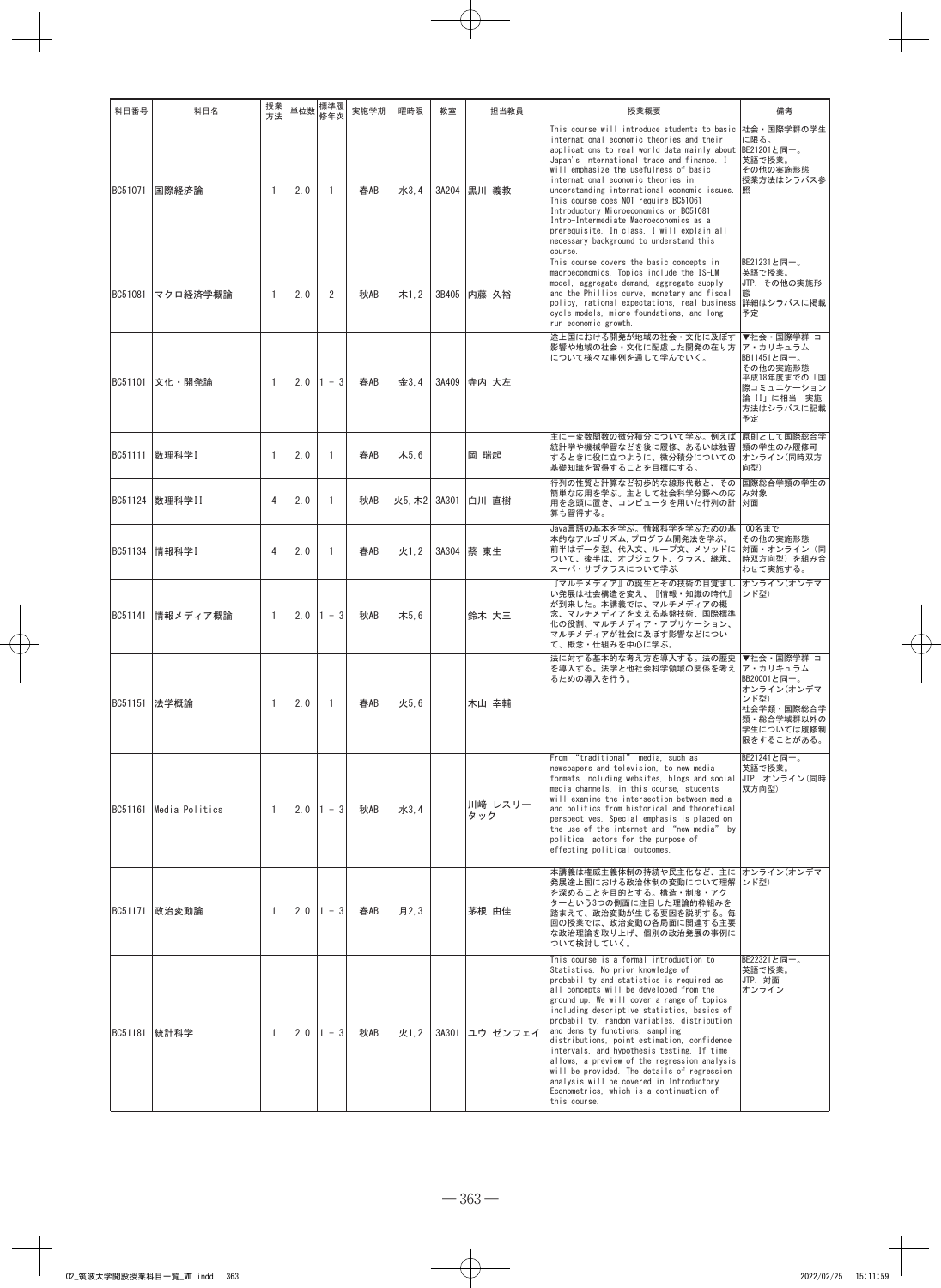| 科目番号                   | 科目名              | 授業<br>方法       |     | 単位数 標準履<br>修年次 | 実施学期             | 曜時限                | 教室                  |      | 担当教員                   | 授業概要                                                                                                                                                                                                                                                                                                                                                                                                                                                                                                                                                                                                                                                    | 備考                                                                                                  |
|------------------------|------------------|----------------|-----|----------------|------------------|--------------------|---------------------|------|------------------------|---------------------------------------------------------------------------------------------------------------------------------------------------------------------------------------------------------------------------------------------------------------------------------------------------------------------------------------------------------------------------------------------------------------------------------------------------------------------------------------------------------------------------------------------------------------------------------------------------------------------------------------------------------|-----------------------------------------------------------------------------------------------------|
| BC51071 国際経済論          |                  | $\overline{1}$ | 2.0 | $\overline{1}$ | 春AB              |                    | 水3,4 3A204 黒川 義教    |      |                        | This course will introduce students to basic 社会・国際学群の学生<br>international economic theories and their<br>applications to real world data mainly about<br>Japan's international trade and finance. I<br>will emphasize the usefulness of basic<br>international economic theories in<br>understanding international economic issues.<br>This course does NOT require BC51061<br>Introductory Microeconomics or BC51081<br>Intro-Intermediate Macroeconomics as a<br>prerequisite. In class, I will explain all<br>necessary background to understand this<br>course.                                                                                      | に限る。<br>BE21201と同一。<br>英語で授業。<br>その他の実施形態<br>授業方法はシラバス参                                             |
|                        | BC51081 マクロ経済学概論 | $\mathbf{1}$   | 2.0 | 2              | 秋AB              |                    | 木1.2 3B405 内藤 久裕    |      |                        | This course covers the basic concepts in<br>macroeconomics. Topics include the IS-LM<br>model, aggregate demand, aggregate supply<br>and the Phillips curve, monetary and fiscal<br>policy, rational expectations, real business 詳細はシラバスに掲載<br>cycle models, micro foundations, and long-<br>run economic growth.                                                                                                                                                                                                                                                                                                                                       | BE21231と同一。<br>英語で授業。<br>JTP. その他の実施形<br>能<br>予定                                                    |
| BC51101 文化 · 開発論       |                  | $\overline{1}$ |     | $2.0$  1 - 3   | 春AB              |                    | 金3.4   3A409  寺内 大左 |      |                        | 途上国における開発が地域の社会・文化に及ぼす ▼社会・国際学群 コ<br> 影響や地域の社会・文化に配慮した開発の在り方 <br>について様々な事例を通して学んでいく。                                                                                                                                                                                                                                                                                                                                                                                                                                                                                                                                                                    | ア・カリキュラム<br>BB11451と同一。<br>その他の実施形態<br>平成18年度までの「国<br>際コミュニケーション<br>論 II」に相当 実施<br>方法はシラバスに記載<br>予定 |
| BC51111   数理科学I        |                  | $\mathbf{1}$   | 2.0 | $\overline{1}$ | 春AB              | 木5.6               |                     | 岡 瑞起 |                        | 主に一変数関数の微分積分について学ぶ。例えば  原則として国際総合学<br>統計学や機械学習などを後に履修、あるいは独習 類の学生のみ履修可<br>するときに役に立つように、微分積分についての オンライン(同時双方<br>基礎知識を習得することを目標にする。                                                                                                                                                                                                                                                                                                                                                                                                                                                                                                                       | 向型)                                                                                                 |
| BC51124 数理科学II         |                  | $\overline{4}$ | 2.0 | $\overline{1}$ | 秋AB              | 火5. 木2 3A301 白川 直樹 |                     |      |                        | 行列の性質と計算など初歩的な線形代数と、その 国際総合学類の学生の<br>簡単な応用を学ぶ。主として社会科学分野への応 み対象<br>用を念頭に置き、コンピュータを用いた行列の計  対面<br>算も習得する。                                                                                                                                                                                                                                                                                                                                                                                                                                                                                                                                                |                                                                                                     |
| BC51134   情報科学I        |                  | $\overline{4}$ | 2.0 | $\overline{1}$ | 春AB              |                    | 火1.2 3A304 蔡 東生     |      |                        | Java言語の基本を学ぶ。情報科学を学ぶための基  100名まで<br>本的なアルゴリズム、プログラム開発法を学ぶ。<br>前半はデータ型、代入文、ループ文、メソッドに 対面・オンライン(同<br>ついて、後半は、オブジェクト、クラス、継承、<br> スーパ・サブクラスについて学ぶ.                                                                                                                                                                                                                                                                                                                                                                                                                                                                                                          | その他の実施形態<br> 時双方向型)を組み合<br>わせて実施する。                                                                 |
|                        | BC51141 情報メディア概論 | $\mathbf{1}$   |     |                | 2.0 $1 - 3$ 秋 AB | 木5.6               |                     |      | 鈴木 大三                  | 『マルチメディア』の誕生とその技術の目覚まし オンライン(オンデマ<br>い発展は社会構造を変え、『情報・知識の時代』<br>が到来した。本講義では、マルチメディアの概<br>念、マルチメディアを支える基盤技術、国際標準<br>化の役割、マルチメディア・アプリケーション、<br>マルチメディアが社会に及ぼす影響などについ<br>て、概念・仕組みを中心に学ぶ。                                                                                                                                                                                                                                                                                                                                                                                                                                                                    | ンド型)                                                                                                |
| BC51151 法学概論           |                  | $\overline{1}$ | 2.0 | $\overline{1}$ | 春AB              | 火5.6               |                     |      | 木山 幸輔                  | 法に対する基本的な考え方を導入する。法の歴史 ▼社会・国際学群 コ<br>を導入する。法学と他社会科学領域の関係を考え ア・カリキュラム<br>るための導入を行う。                                                                                                                                                                                                                                                                                                                                                                                                                                                                                                                                                                      | BB20001と同一。<br>オンライン(オンデマ<br> ンド型)<br>社会学類・国際総合学<br>類・総合学域群以外の<br>学生については履修制<br>限をすることがある。          |
| BC51161 Media Politics |                  | $\overline{1}$ |     |                | 2.0 $1 - 3$ 秋 AB | 水3,4               |                     | タック  | 川﨑 レスリー                | From "traditional" media, such as<br>newspapers and television, to new media<br>formats including websites, blogs and social JTP. オンライン(同時<br>media channels, in this course, students<br>will examine the intersection between media<br>and politics from historical and theoretical<br>perspectives. Special emphasis is placed on<br>the use of the internet and "new media" by<br>political actors for the purpose of<br>effecting political outcomes.                                                                                                                                                                                              | BE21241と同一。<br>英語で授業。<br>双方向型)                                                                      |
| BC51171   政治変動論        |                  | $\mathbf{1}$   |     |                | 2.0 $1 - 3$ 春AB  | 月2,3               |                     |      | 茅根 由佳                  | 本講義は権威主義体制の持続や民主化など、主に オンライン(オンデマ<br>発展途上国における政治体制の変動について理解 ンド型)<br>を深めることを目的とする。構造・制度・アク<br>ターという3つの側面に注目した理論的枠組みを<br> 踏まえて、政治変動が生じる要因を説明する。毎<br>回の授業では、政治変動の各局面に関連する主要<br>な政治理論を取り上げ、個別の政治発展の事例に<br>ついて検討していく。                                                                                                                                                                                                                                                                                                                                                                                                                                        |                                                                                                     |
| BC51181   統計科学         |                  | $\overline{1}$ |     |                | 2.0 $1 - 3$ 秋 AB |                    |                     |      | 火1.2   3A301  ユウ ゼンフェイ | This course is a formal introduction to<br>Statistics. No prior knowledge of<br>probability and statistics is required as<br>all concepts will be developed from the<br>ground up. We will cover a range of topics<br>including descriptive statistics, basics of<br>probability, random variables, distribution<br>and density functions, sampling<br>distributions, point estimation, confidence<br>intervals, and hypothesis testing. If time<br>allows, a preview of the regression analysis<br>will be provided. The details of regression<br>analysis will be covered in Introductory<br>Econometrics, which is a continuation of<br>this course. | BE22321と同一。<br>英語で授業。<br>JTP. 対面<br>オンライン                                                           |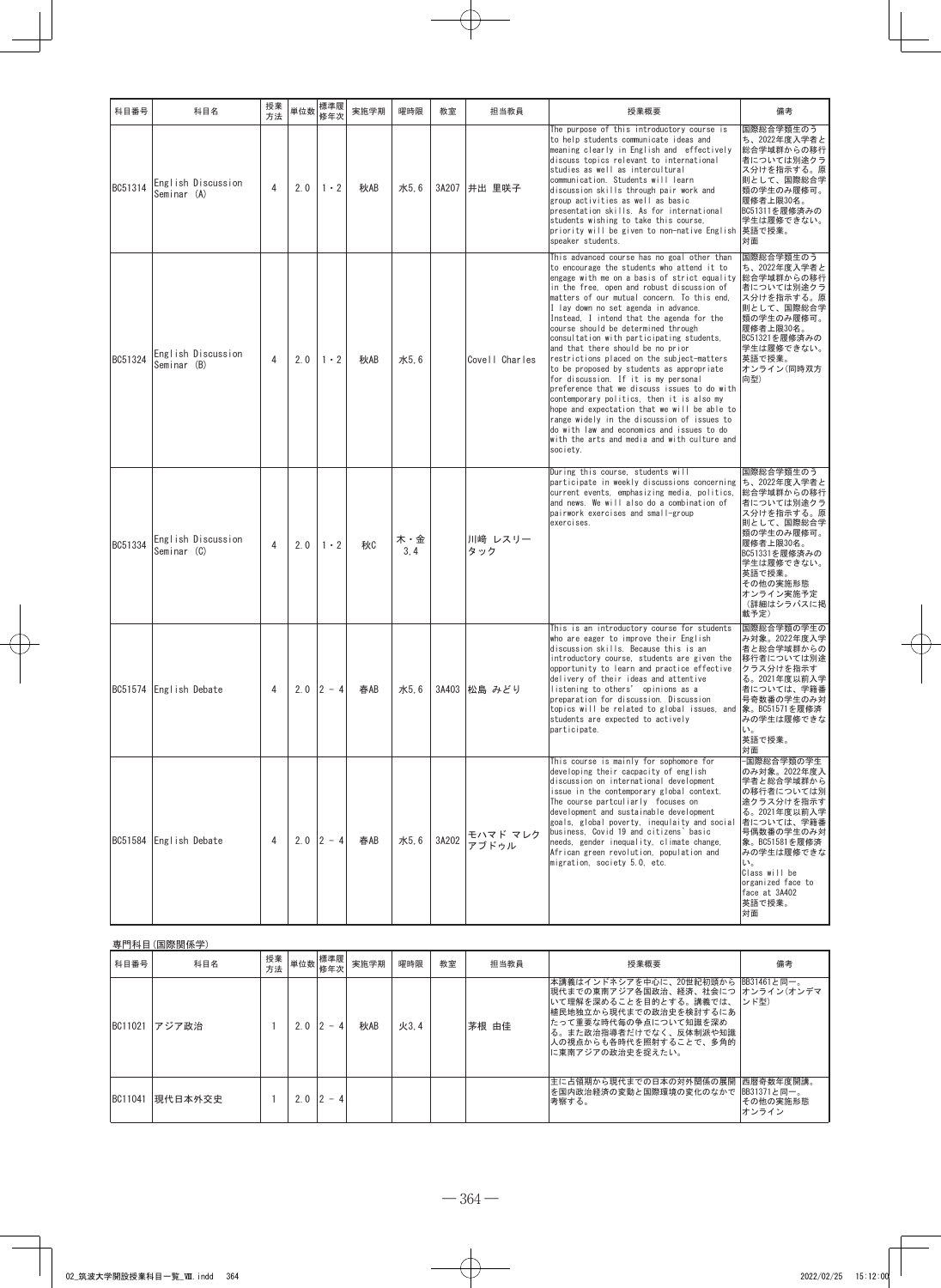| 科目番号    | 科目名                               | 授業<br>方法       | 単位数 | 標準履<br>修年次  | 実施学期 | 曜時限         | 教室    | 担当教員              | 授業概要                                                                                                                                                                                                                                                                                                                                                                                                                                                                                                                                                                                                                                                                                                                                                                                                                                                                                          | 備考                                                                                                                                                                                                                           |
|---------|-----------------------------------|----------------|-----|-------------|------|-------------|-------|-------------------|-----------------------------------------------------------------------------------------------------------------------------------------------------------------------------------------------------------------------------------------------------------------------------------------------------------------------------------------------------------------------------------------------------------------------------------------------------------------------------------------------------------------------------------------------------------------------------------------------------------------------------------------------------------------------------------------------------------------------------------------------------------------------------------------------------------------------------------------------------------------------------------------------|------------------------------------------------------------------------------------------------------------------------------------------------------------------------------------------------------------------------------|
| BC51314 | English Discussion<br>Seminar (A) | 4              | 2.0 | $1 \cdot 2$ | 秋AB  | 水5.6        |       | 3A207 井出 里咲子      | The purpose of this introductory course is<br>to help students communicate ideas and<br>meaning clearly in English and effectively<br>discuss topics relevant to international<br>studies as well as intercultural<br>communication. Students will learn<br>discussion skills through pair work and<br>group activities as well as basic<br>presentation skills. As for international<br>students wishing to take this course,<br>priority will be given to non-native English<br>speaker students.                                                                                                                                                                                                                                                                                                                                                                                           | 国際総合学類生のう<br>ち、2022年度入学者と<br>総合学域群からの移行<br>者については別途クラ<br>ス分けを指示する。原<br>則として、国際総合学<br>類の学生のみ履修可。<br>履修者上限30名。<br>BC51311を履修済みの<br>学生は履修できない。<br>英語で授業。<br>対面                                                                  |
| BC51324 | English Discussion<br>Seminar (B) | $\overline{4}$ | 2.0 | $1 \cdot 2$ | 秋AB  | 水5.6        |       | Covell Charles    | This advanced course has no goal other than<br>to encourage the students who attend it to<br>engage with me on a basis of strict equality<br>in the free, open and robust discussion of<br>matters of our mutual concern. To this end,<br>I lay down no set agenda in advance.<br>Instead, I intend that the agenda for the<br>course should be determined through<br>consultation with participating students,<br>and that there should be no prior<br>restrictions placed on the subject-matters<br>to be proposed by students as appropriate<br>for discussion. If it is my personal<br>preference that we discuss issues to do with<br>contemporary politics, then it is also my<br>hope and expectation that we will be able to<br>range widely in the discussion of issues to<br>do with law and economics and issues to do<br>with the arts and media and with culture and<br>society. | 国際総合学類生のう<br>ち、2022年度入学者と<br>総合学域群からの移行<br>者については別途クラ<br>ス分けを指示する。原<br>則として、国際総合学<br>類の学生のみ履修可。<br>履修者上限30名。<br>BC51321を履修済みの<br>学生は履修できない。<br>英語で授業。<br>オンライン(同時双方<br>向型)                                                   |
| BC51334 | English Discussion<br>Seminar (C) | 4              | 2.0 | $1 \cdot 2$ | 秋    | 木・金<br>3, 4 |       | 川﨑 レスリー<br>タック    | During this course, students will<br>participate in weekly discussions concerning<br>current events, emphasizing media, politics,<br>and news. We will also do a combination of<br>pairwork exercises and small-group<br>exercises.                                                                                                                                                                                                                                                                                                                                                                                                                                                                                                                                                                                                                                                           | 国際総合学類生のう<br>ち、2022年度入学者と<br>総合学域群からの移行<br>者については別途クラ<br>ス分けを指示する。原<br>則として、国際総合学<br>類の学生のみ履修可。<br>履修者上限30名。<br>BC51331を履修済みの<br>学生は履修できない。<br>英語で授業。<br>その他の実施形態<br>オンライン実施予定<br>(詳細はシラバスに掲<br>載予定)                         |
|         | BC51574 English Debate            | 4              | 2.0 | $ 2 - 4$    | 春AB  | 水5.6        |       | 3A403 松島 みどり      | This is an introductory course for students<br>who are eager to improve their English<br>discussion skills. Because this is an<br>introductory course, students are given the<br>opportunity to learn and practice effective<br>delivery of their ideas and attentive<br>listening to others' opinions as a<br>preparation for discussion. Discussion<br>topics will be related to global issues, and 象。BC51571を履修済<br>students are expected to actively<br>participate.                                                                                                                                                                                                                                                                                                                                                                                                                      | 国際総合学類の学生の<br>み対象。2022年度入学<br>者と総合学域群からの<br>移行者については別途<br>クラス分けを指示す<br>る。2021年度以前入学<br>者については、学籍番<br>号奇数番の学生のみ対<br>みの学生は履修できな<br>い。<br>英語で授業。<br>対面                                                                          |
| BC51584 | English Debate                    | 4              |     | $2.0$ 2 - 4 | 春AB  | 水5.6        | 3A202 | モハマド マレク<br>アブドゥル | This course is mainly for sophomore for<br>developing their cacpacity of english<br>discussion on international development<br>issue in the contemporary global context.<br>The course partculiarly focuses on<br>development and sustainable development<br>goals, global poverty, inequiaity and social<br>business, Covid 19 and citizens' basic<br>needs, gender inequality, climate change,<br>African green revolution, population and<br>migration, society 5.0, etc.                                                                                                                                                                                                                                                                                                                                                                                                                  | -国際総合学類の学生<br>のみ対象。2022年度入<br>学者と総合学域群から<br>の移行者については別<br>途クラス分けを指示す<br>る。2021年度以前入学<br>者については、学籍番<br>号偶数番の学生のみ対<br>象。BC51581を履修済<br>みの学生は履修できな<br>い。<br>Class will be<br>organized face to<br>face at 3A402<br>英語で授業。<br>対面 |

## 専門科目(国際関係学)

| 科目番号    | 科目名     | 授業<br>方法 |     | <  単位数 標準履  〟<br>修年次     | 実施学期 | 曜時限  | 教室 | 担当教員  | 授業概要                                                                                                                                                                                                                            | 備考                |
|---------|---------|----------|-----|--------------------------|------|------|----|-------|---------------------------------------------------------------------------------------------------------------------------------------------------------------------------------------------------------------------------------|-------------------|
| BC11021 | アジア政治   |          | 2.0 | $2 - 4$                  | 秋AB  | 火3.4 |    | 茅根 由佳 | 本講義はインドネシアを中心に、20世紀初頭から BB31461と同一。<br> 現代までの東南アジア各国政治、経済、社会につ  オンライン(オンデマ<br>いて理解を深めることを目的とする。講義では、<br>植民地独立から現代までの政治史を検討するにあ<br>たって重要な時代毎の争点について知識を深め<br>る。また政治指導者だけでなく、反体制派や知識<br>人の視点からも各時代を照射することで、多角的<br>に東南アジアの政治史を捉えたい。 | ンド型)              |
| BC11041 | 現代日本外交史 |          | 2.0 | $\overline{\phantom{0}}$ |      |      |    |       | 生に占領期から現代までの日本の対外関係の展開 西暦奇数年度開講。<br>を国内政治経済の変動と国際環境の変化のなかで BB31371と同一。<br>考察する。                                                                                                                                                 | その他の実施形態<br>オンライン |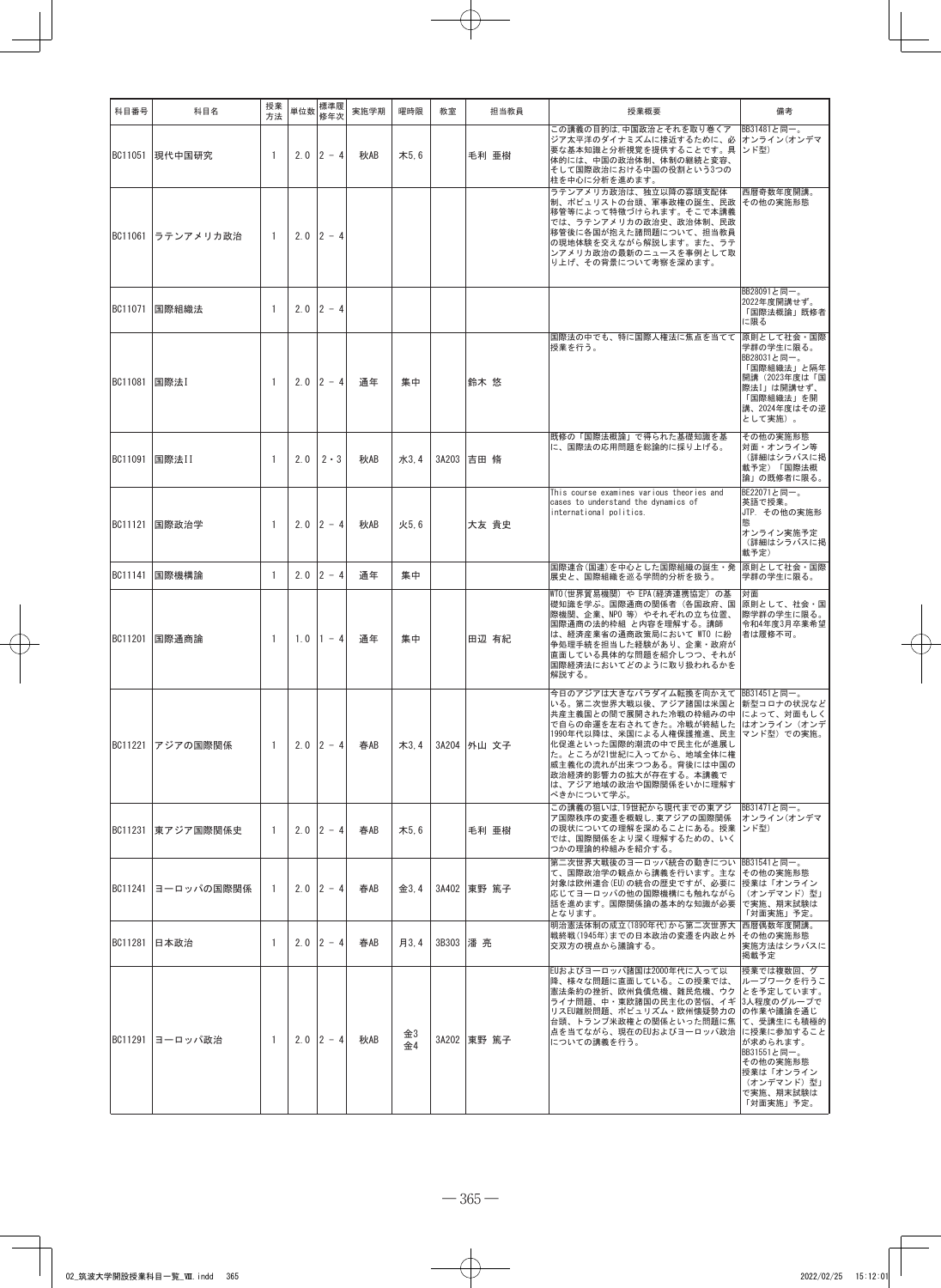| 科目番号           | 科目名            | 授業<br>方法       | 単位数 | 標準履<br>修年次      | 実施学期 | 曜時限      | 教室       | 担当教員        | 授業概要                                                                                                                                                                                                                                                                                                                                         | 備考                                                                                                                                                                           |
|----------------|----------------|----------------|-----|-----------------|------|----------|----------|-------------|----------------------------------------------------------------------------------------------------------------------------------------------------------------------------------------------------------------------------------------------------------------------------------------------------------------------------------------------|------------------------------------------------------------------------------------------------------------------------------------------------------------------------------|
|                | BC11051 現代中国研究 | -1             |     | $2.0$ 2 - 4     | 秋AB  | 木5.6     |          | 毛利 亜樹       | この講義の目的は,中国政治とそれを取り巻くア BB31481と同一。<br>ジア太平洋のダイナミズムに接近するために、必 オンライン(オンデマ<br>要な基本知識と分析視覚を提供することです。具 ンド型)<br>体的には、中国の政治体制、体制の継続と変容、<br>そして国際政治における中国の役割という3つの<br>柱を中心に分析を進めます。                                                                                                                                                                  |                                                                                                                                                                              |
| BC11061        | ラテンアメリカ政治      | -1             | 2.0 | $2 - 4$         |      |          |          |             | ラテンアメリカ政治は、独立以降の寡頭支配体<br>制、ポピュリストの台頭、軍事政権の誕生、民政 その他の実施形態<br>移管等によって特徴づけられます。そこで本講義<br>では、ラテンアメリカの政治史、政治体制、民政<br>移管後に各国が抱えた諸問題について、担当教員<br>の現地体験を交えながら解説します。また、ラテ<br>ンアメリカ政治の最新のニュースを事例として取<br>り上げ、その背景について考察を深めます。                                                                                                                           | 西暦奇数年度開講。                                                                                                                                                                    |
|                | BC11071 国際組織法  | 1              |     | $2.0$ 2 - 4     |      |          |          |             |                                                                                                                                                                                                                                                                                                                                              | BB28091と同一。<br>2022年度開講せず。<br>「国際法概論」既修者<br>に限る                                                                                                                              |
| BC11081 国際法I   |                | 1              |     | $2.0$ 2 - 4     | 通年   | 集中       |          | 鈴木 悠        | 国際法の中でも、特に国際人権法に焦点を当てて<br>授業を行う。                                                                                                                                                                                                                                                                                                             | 原則として社会・国際<br>学群の学生に限る。<br>BB28031と同一。<br>「国際組織法」と隔年<br>開講 (2023年度は「国<br>際法I」は開講せず、<br>「国際組織法」を開<br>講、2024年度はその逆<br>として実施)。                                                  |
| BC11091        | 国際法II          | $\overline{1}$ | 2.0 | $2 \cdot 3$     | 秋AB  | 水3,4     |          | 3A203 吉田 脩  | 既修の「国際法概論」で得られた基礎知識を基<br>に、国際法の応用問題を総論的に採り上げる。                                                                                                                                                                                                                                                                                               | その他の実施形態<br>対面・オンライン等<br>(詳細はシラバスに掲<br>載予定)「国際法概<br>論」の既修者に限る。                                                                                                               |
|                | BC11121 国際政治学  | -1             | 2.0 | $ 2 - 4 $       | 秋AB  | 火5.6     |          | 大友 貴史       | This course examines various theories and<br>cases to understand the dynamics of<br>international politics.                                                                                                                                                                                                                                  | BE22071と同一。<br>英語で授業。<br>JTP. その他の実施形<br>熊<br>オンライン実施予定<br>(詳細はシラバスに掲<br>載予定)                                                                                                |
|                | BC11141 国際機構論  | -1             | 2.0 | $12 - 4$        | 通年   | 集中       |          |             | 国際連合(国連)を中心とした国際組織の誕生・発<br>展史と、国際組織を巡る学問的分析を扱う。                                                                                                                                                                                                                                                                                              | 原則として社会・国際<br>学群の学生に限る。                                                                                                                                                      |
| BC11201        | 国際通商論          | $\overline{1}$ | 1.0 | $1 - 4$         | 通年   | 集中       |          | 田辺 有紀       | WTO(世界貿易機関) や EPA(経済連携協定) の基<br>礎知識を学ぶ。国際通商の関係者(各国政府、国<br>際機関、企業、NPO 等)やそれぞれの立ち位置、<br>国際通商の法的枠組 と内容を理解する。講師<br>は、経済産業省の通商政策局において WTO に紛<br>争処理手続を担当した経験があり、企業・政府が<br>直面している具体的な問題を紹介しつつ、それが<br>国際経済法においてどのように取り扱われるかを<br>解説する。                                                                                                               | 対面<br>原則として、社会・国<br>際学群の学生に限る。<br>令和4年度3月卒業希望<br> 者は履修不可。                                                                                                                    |
| BC11221        | アジアの国際関係       | -1             |     | $2.0$ 2 - 4     | 春AB  | 木3,4     |          | 3A204 外山 文子 | 今日のアジアは大きなパラダイム転換を向かえて BB31451と同一。<br>いる。第二次世界大戦以後、アジア諸国は米国と   新型コロナの状況など<br>共産主義国との間で展開された冷戦の枠組みの中 によって、対面もしく<br>で自らの命運を左右されてきた。冷戦が終結した はオンライン (オンデ<br>1990年代以降は、米国による人権保護推進、民主 マンド型) での実施。<br>化促進といった国際的潮流の中で民主化が進展し<br>た。ところが21世紀に入ってから、地域全体に権<br>威主義化の流れが出来つつある。背後には中国の<br>政治経済的影響力の拡大が存在する。本講義で<br>は、アジア地域の政治や国際関係をいかに理解す<br>べきかについて学ぶ。 |                                                                                                                                                                              |
| BC11231        | 東アジア国際関係史      | $\overline{1}$ |     | $2.0$ 2 - 4     | 春AB  | 木5.6     |          | 毛利 亜樹       | この講義の狙いは,19世紀から現代までの東アジ<br>ア国際秩序の変遷を概観し、東アジアの国際関係<br>の現状についての理解を深めることにある。授業<br>では、国際関係をより深く理解するための、いく<br>つかの理論的枠組みを紹介する。                                                                                                                                                                                                                     | BB31471と同一。<br>オンライン(オンデマ<br> ンド型)                                                                                                                                           |
| BC11241        | ヨーロッパの国際関係     | -1             |     | $2.0$ 2 - 4     | 春AB  | 金3.4     |          | 3A402 東野 篤子 | 第二次世界大戦後のヨーロッパ統合の動きについ BB31541と同一。<br>て、国際政治学の観点から講義を行います。主な<br>対象は欧州連合(EU)の統合の歴史ですが、必要に<br>応じてヨーロッパの他の国際機構にも触れながら<br>話を進めます。国際関係論の基本的な知識が必要<br>となります。                                                                                                                                                                                       | その他の実施形態<br>授業は「オンライン<br>(オンデマンド)型」<br>で実施、期末試験は<br>「対面実施」予定。                                                                                                                |
| <b>BC11281</b> | 日本政治           | -1             |     | $2.0$ $ 2 - 4 $ | 春AB  | 月3.4     | 3B303 潘亮 |             | 明治憲法体制の成立(1890年代)から第二次世界大<br>戦終戦(1945年)までの日本政治の変遷を内政と外<br>交双方の視点から議論する。                                                                                                                                                                                                                                                                      | 西暦偶数年度開講。<br>その他の実施形態<br>実施方法はシラバスに<br>掲載予定                                                                                                                                  |
| BC11291        | ヨーロッパ政治        | -1             |     | $2.0$ 2 - 4     | 秋AB  | 金3<br>金4 |          | 3A202 東野 篤子 | EUおよびヨーロッパ諸国は2000年代に入って以<br>降、様々な問題に直面している。この授業では、<br>憲法条約の挫折、欧州負債危機、難民危機、ウク<br>ライナ問題、中・東欧諸国の民主化の苦悩、イギ  3人程度のグループで<br>リスEU離脱問題、ポピュリズム・欧州懐疑勢力の<br>台頭、トランプ米政権との関係といった問題に焦<br>点を当てながら、現在のEUおよびヨーロッパ政治<br>についての講義を行う。                                                                                                                            | 授業では複数回、グ<br>ループワークを行うこ<br> とを予定しています。<br>の作業や議論を通じ<br>て、受講生にも積極的<br>に授業に参加すること<br>が求められます。<br>BB31551と同一。<br>その他の実施形態<br> 授業は「オンライン<br>(オンデマンド)型」<br>で実施、期末試験は<br>「対面実施」予定。 |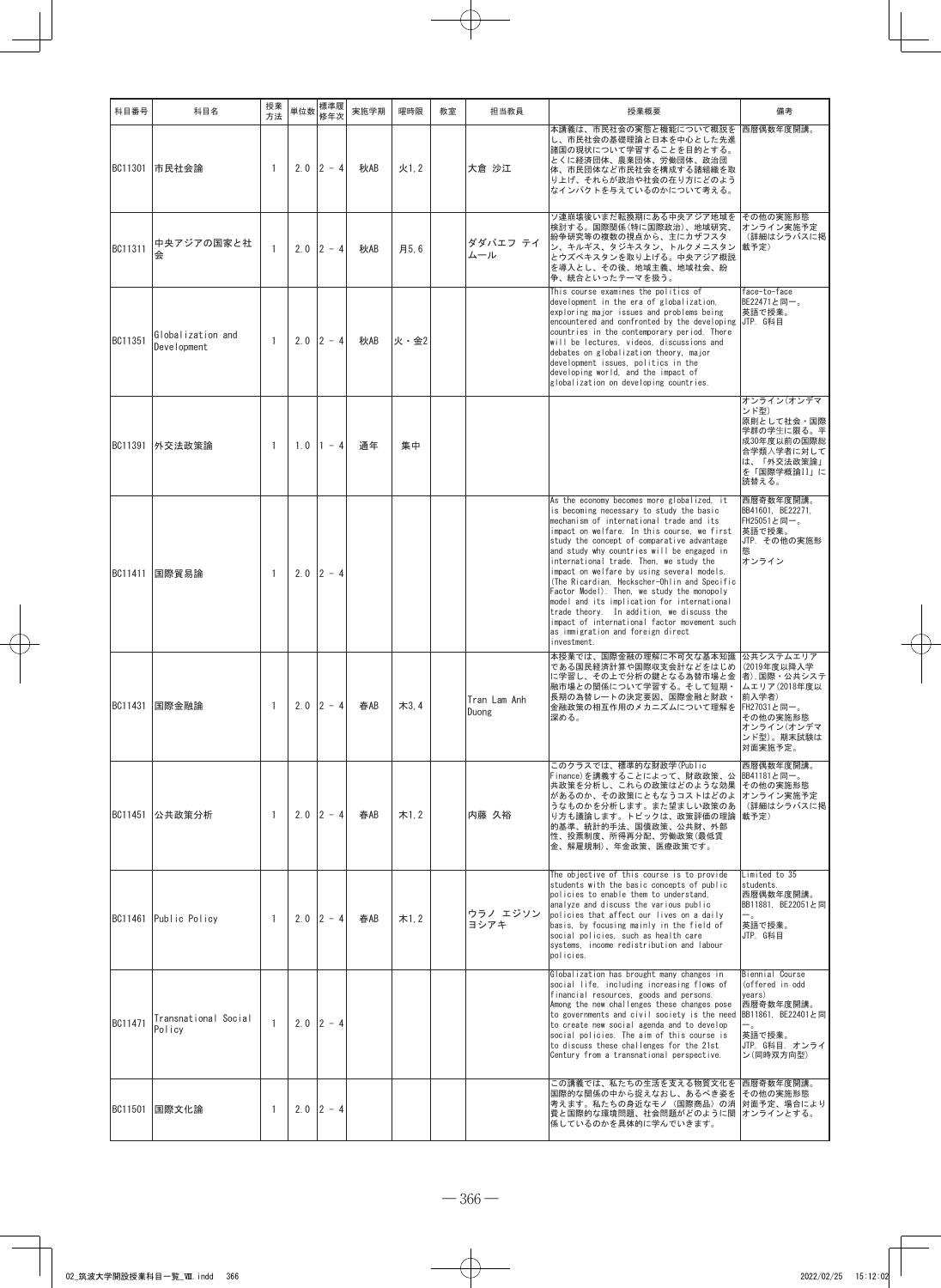| 科目番号    | 科目名                                     | 授業<br>方法     | 単位数 | 標準履<br>修年次      | 実施学期 | 曜時限  | 教室 | 担当教員                  | 授業概要                                                                                                                                                                                                                                                                                                                                                                                                                                                                                                                                                                                                                                                                 | 備考                                                                                                                                  |
|---------|-----------------------------------------|--------------|-----|-----------------|------|------|----|-----------------------|----------------------------------------------------------------------------------------------------------------------------------------------------------------------------------------------------------------------------------------------------------------------------------------------------------------------------------------------------------------------------------------------------------------------------------------------------------------------------------------------------------------------------------------------------------------------------------------------------------------------------------------------------------------------|-------------------------------------------------------------------------------------------------------------------------------------|
| BC11301 | 市民社会論                                   | -1           | 2.0 | $2 - 4$         | 秋AB  | 火1.2 |    | 大倉 沙江                 | 本講義は、市民社会の実態と機能について概説を<br>し、市民社会の基礎理論と日本を中心とした先進<br>諸国の現状について学習することを目的とする。<br>とくに経済団体、農業団体、労働団体、政治団<br>体、市民団体など市民社会を構成する諸組織を取<br>り上げ、それらが政治や社会の在り方にどのよう<br>なインパクトを与えているのかについて考える。                                                                                                                                                                                                                                                                                                                                                                                                                                                                                    | 西暦偶数年度開講。                                                                                                                           |
| BC11311 | 中央アジアの国家と社<br>会                         | $\mathbf{1}$ |     | $2.0$ $ 2 - 4 $ | 秋AB  | 月5.6 |    | ダダバエフ テイ<br>ムール       | ソ連崩壊後いまだ転換期にある中央アジア地域を<br>検討する。国際関係(特に国際政治)、地域研究、<br>紛争研究等の複数の視点から、主にカザフスタ<br>ン、キルギス、タジキスタン、トルクメニスタン<br>とウズベキスタンを取り上げる。中央アジア概説<br>を導入とし、その後、地域主義、地域社会、紛<br>争、統合といったテーマを扱う。                                                                                                                                                                                                                                                                                                                                                                                                                                                                                           | その他の実施形態<br>オンライン実施予定<br>(詳細はシラバスに掲<br>載予定)                                                                                         |
| BC11351 | Globalization and<br><b>Development</b> | $\mathbf{1}$ | 2.0 | $2 - 4$         | 秋AB  | 火・金2 |    |                       | This course examines the politics of<br>development in the era of globalization,<br>exploring major issues and problems being<br>encountered and confronted by the developing<br>countries in the contemporary period. There<br>will be lectures, videos, discussions and<br>debates on globalization theory, major<br>development issues, politics in the<br>developing world, and the impact of<br>globalization on developing countries.                                                                                                                                                                                                                          | face-to-face<br>BE22471と同一。<br>英語で授業。<br>UTP. G科目                                                                                   |
| BC11391 | 外交法政策論                                  | -1           | 1.0 | $1 - 4$         | 通年   | 集中   |    |                       |                                                                                                                                                                                                                                                                                                                                                                                                                                                                                                                                                                                                                                                                      | オンライン(オンデマ<br>ンド型)<br>原則として社会・国際<br>学群の学生に限る。平<br>成30年度以前の国際総<br>合学類入学者に対して<br>は、「外交法政策論」<br>を「国際学概論II」に<br>読替える。                   |
| BC11411 | 国際貿易論                                   | -1           | 2.0 | $ 2 - 4$        |      |      |    |                       | As the economy becomes more globalized, it<br>is becoming necessary to study the basic<br>mechanism of international trade and its<br>impact on welfare. In this course, we first<br>study the concept of comparative advantage<br>and study why countries will be engaged in<br>international trade. Then, we study the<br>impact on welfare by using several models.<br>(The Ricardian, Heckscher-Ohlin and Specific<br>Factor Model). Then, we study the monopoly<br>model and its implication for international<br>trade theory. In addition, we discuss the<br>impact of international factor movement such<br>as immigration and foreign direct<br>investment. | 西暦奇数年度開講。<br>BB41601, BE22271,<br>FH25051と同一。<br>英語で授業。<br>JTP. その他の実施形<br>熊<br>オンライン                                               |
| BC11431 | 国際金融論                                   | -1           | 2.0 | $2 - 4$         | 春AB  | 木3,4 |    | Tran Lam Anh<br>Duong | 本授業では、国際金融の理解に不可欠な基本知識<br>である国民経済計算や国際収支会計などをはじめ<br>に学習し、その上で分析の鍵となる為替市場と金<br>融市場との関係について学習する。そして短期・<br>長期の為替レートの決定要因、国際金融と財政・<br>金融政策の相互作用のメカニズムについて理解を<br>深める。                                                                                                                                                                                                                                                                                                                                                                                                                                                                                                     | 公共システムエリア<br>(2019年度以降入学<br>者),国際・公共システ<br>ムエリア(2018年度以<br>前入学者)<br> FH27031と同一。<br>その他の実施形態<br>オンライン(オンデマ<br>ンド型)。期末試験は<br>対面実施予定。 |
|         | BC11451 公共政策分析                          | 1            |     | $2.0$ 2 - 4     | 春AB  | 木1.2 |    | 内藤 久裕                 | このクラスでは、標準的な財政学(Public<br>Finance)を講義することによって、財政政策、公<br>共政策を分析し、これらの政策はどのような効果<br>があるのか、その政策にともなうコストはどのよ<br>うなものかを分析します。また望ましい政策のあ<br>り方も議論します。トピックは、政策評価の理論<br>的基準、統計的手法、国債政策、公共財、外部<br>性、投票制度、所得再分配、労働政策(最低賃<br>金、解雇規制)、年金政策、医療政策です。                                                                                                                                                                                                                                                                                                                                                                                                                               | 西暦偶数年度開講。<br>BB41181と同一。<br>その他の実施形態<br> オンライン実施予定<br>(詳細はシラバスに掲<br>載予定)                                                            |
|         | BC11461 Public Policy                   | 1            |     | $2.0$ 2 - 4     | 春AB  | 木1.2 |    | ウラノ エジソン<br>ヨシアキ      | The objective of this course is to provide<br>students with the basic concepts of public<br>policies to enable them to understand,<br>analyze and discuss the various public<br>policies that affect our lives on a daily<br>basis, by focusing mainly in the field of<br>social policies, such as health care<br>systems, income redistribution and labour<br>policies.                                                                                                                                                                                                                                                                                             | Limited to 35<br>students.<br>西暦偶数年度開講。<br>BB11881, BE22051と同<br>$-$ .<br>英語で授業。<br>JTP. G科目                                        |
| BC11471 | Transnational Social<br>Policy          | $\mathbf{1}$ | 2.0 | $ 2 - 4 $       |      |      |    |                       | Globalization has brought many changes in<br>social life, including increasing flows of<br>financial resources, goods and persons.<br>Among the new challenges these changes pose<br>to governments and civil society is the need<br>to create new social agenda and to develop<br>social policies. The aim of this course is<br>to discuss these challenges for the 21st<br>Century from a transnational perspective.                                                                                                                                                                                                                                               | Biennial Course<br>(offered in odd<br>years)<br>西暦奇数年度開講。<br>BB11861, BE22401と同<br>英語で授業。<br>JTP. G科目. オンライ<br>ン(同時双方向型)            |
|         | BC11501   国際文化論                         | -1           |     | $2.0$ 2 - 4     |      |      |    |                       | この講義では、私たちの生活を支える物質文化を<br>国際的な関係の中から捉えなおし、あるべき姿を<br>考えます。私たちの身近なモノ(国際商品)の消<br>費と国際的な環境問題、社会問題がどのように関 オンラインとする。<br>係しているのかを具体的に学んでいきます。                                                                                                                                                                                                                                                                                                                                                                                                                                                                                                                               | 西暦奇数年度開講。<br>その他の実施形態<br> 対面予定、場合により                                                                                                |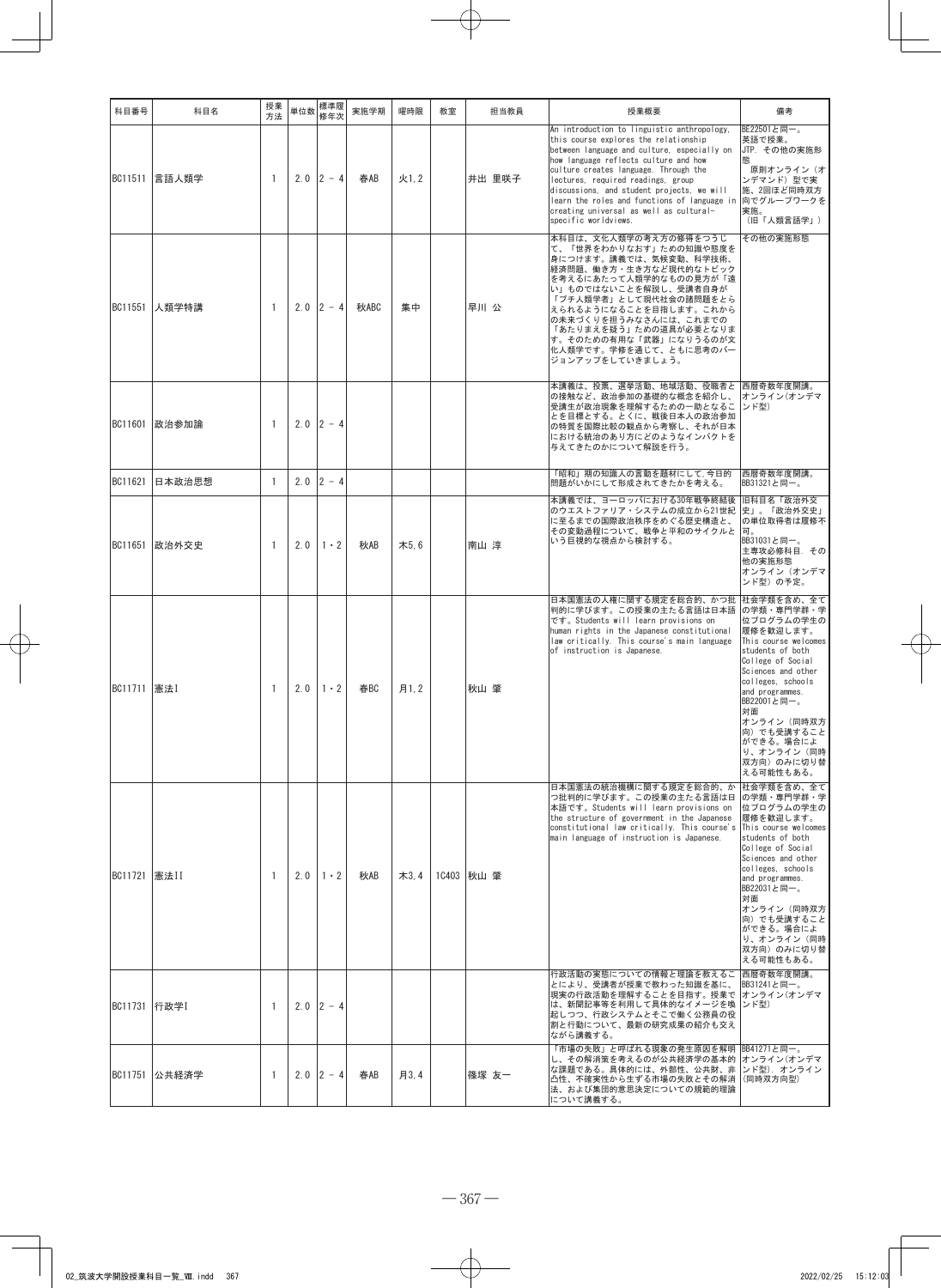| 科目番号           | 科目名           | 授業<br>方法     | 単位数 | 標準履<br>修年次           | 実施学期 | 曜時限  | 教室 | 担当教員       | 授業概要                                                                                                                                                                                                                                                                                                                                                                                                                         | 備考                                                                                                                                                                                                                                                                                         |
|----------------|---------------|--------------|-----|----------------------|------|------|----|------------|------------------------------------------------------------------------------------------------------------------------------------------------------------------------------------------------------------------------------------------------------------------------------------------------------------------------------------------------------------------------------------------------------------------------------|--------------------------------------------------------------------------------------------------------------------------------------------------------------------------------------------------------------------------------------------------------------------------------------------|
|                | BC11511 言語人類学 | $\mathbf{1}$ |     | $2.0$ 2 - 4          | 春AB  | 火1.2 |    | 井出 里咲子     | An introduction to linguistic anthropology.<br>this course explores the relationship<br>between language and culture, especially on<br>how language reflects culture and how<br>culture creates language. Through the<br>lectures, required readings, group<br>discussions, and student projects, we will<br>learn the roles and functions of language in<br>creating universal as well as cultural-<br>specific worldviews. | BE22501と同一。<br>英語で授業。<br>JTP. その他の実施形<br>熊<br>原則オンライン(オ<br>ンデマンド)型で実<br>施、2回ほど同時双方<br>向でグループワークを<br>実施。<br>(旧「人類言語学」)                                                                                                                                                                      |
| BC11551        | 人類学特講         | -1           |     | $2.0$ 2 - 4          | 秋ABC | 集中   |    | 早川 公       | 本科目は、文化人類学の考え方の修得をつうじ<br>て、「世界をわかりなおす」ための知識や態度を<br>身につけます。講義では、気候変動、科学技術、<br>経済問題、働き方・生き方など現代的なトピック<br>を考えるにあたって人類学的なものの見方が「遠<br>い」ものではないことを解説し、受講者自身が<br>「プチ人類学者」として現代社会の諸問題をとら<br>えられるようになることを目指します。これから<br>の未来づくりを担うみなさんには、これまでの<br>「あたりまえを疑う」ための道具が必要となりま<br>す。そのための有用な「武器」になりうるのが文<br>化人類学です。学修を通じて、ともに思考のバー<br>ジョンアップをしていきましょう。                                                                                        | その他の実施形態                                                                                                                                                                                                                                                                                   |
|                | BC11601 政治参加論 | 1            |     | $2.0$ 2 - 4          |      |      |    |            | 本講義は、投票、選挙活動、地域活動、役職者と<br>の接触など、政治参加の基礎的な概念を紹介し、<br>受講生が政治現象を理解するための一助となるこ<br>とを目標とする。とくに、戦後日本人の政治参加<br>の特質を国際比較の観点から考察し、それが日本<br>における統治のあり方にどのようなインパクトを<br>与えてきたのかについて解説を行う。                                                                                                                                                                                                                                                | 西暦奇数年度開講。<br>オンライン(オンデマ<br>ンド型)                                                                                                                                                                                                                                                            |
| BC11621        | 日本政治思想        | $\mathbf{1}$ |     | $2.0$ 2 - 4          |      |      |    |            | 「昭和」期の知識人の言動を題材にして,今日的<br>問題がいかにして形成されてきたかを考える。                                                                                                                                                                                                                                                                                                                                                                              | 西暦奇数年度開講。<br>BB31321と同一。                                                                                                                                                                                                                                                                   |
| BC11651        | 政治外交史         | $\mathbf{1}$ | 2.0 | $1 \cdot 2$          | 秋AB  | 木5.6 |    | 南山 淳       | 本講義では、ヨーロッパにおける30年戦争終結後<br>のウエストファリア・システムの成立から21世紀<br>に至るまでの国際政治秩序をめぐる歴史構造と、<br>その変動過程について、戦争と平和のサイクルと<br>いう巨視的な視点から検討する。                                                                                                                                                                                                                                                                                                    | 旧科目名「政治外交<br>史」。「政治外交史」<br>の単位取得者は履修不<br>同。<br>BB31031と同一。<br>主専攻必修科目.その<br>他の実施形態<br>オンライン(オンデマ<br>ンド型)の予定。                                                                                                                                                                               |
| BC11711 憲法I    |               | -1           | 2.0 | $1 \cdot 2$          | 春BC  | 月1.2 |    | 秋山 肇       | 日本国憲法の人権に関する規定を総合的、かつ批<br>判的に学びます。この授業の主たる言語は日本語<br>です。Students will learn provisions on<br>human rights in the Japanese constitutional<br>law critically. This course's main language<br>of instruction is Japanese.                                                                                                                                                                                                        | 社会学類を含め、全て<br>の学類・専門学群・学<br>位プログラムの学生の<br>履修を歓迎します。<br>This course welcomes<br>students of both<br>College of Social<br>Sciences and other<br>colleges, schools<br>and programmes.<br>BB22001と同一。<br>対面<br>オンライン(同時双方<br>向)でも受講すること<br>ができる。場合によ<br>り、オンライン(同時<br>双方向)のみに切り替<br>える可能性もある。  |
| BC11721 憲法II   |               | $\mathbf{1}$ |     | $2.0 \mid 1 \cdot 2$ | 秋AB  | 木3,4 |    | 1C403 秋山 肇 | 日本国憲法の統治機構に関する規定を総合的、か<br>つ批判的に学びます。この授業の主たる言語は日<br>本語です。Students will learn provisions on<br>the structure of government in the Japanese<br>constitutional law critically. This course's<br>main language of instruction is Japanese.                                                                                                                                                                                       | 社会学類を含め、全て<br>の学類・専門学群・学<br>位プログラムの学生の<br>履修を歓迎します。<br>This course welcomes<br>students of both<br>College of Social<br>Sciences and other<br>colleges, schools<br>and programmes.<br>BB22031と同一。<br>対面<br>オンライン (同時双方<br>向)でも受講すること<br>ができる。場合によ<br>り、オンライン(同時<br>双方向)のみに切り替<br>える可能性もある。 |
| BC11731   行政学I |               | 1            |     | $2.0$ 2 - 4          |      |      |    |            | 行政活動の実態についての情報と理論を教えるこ<br>とにより、受講者が授業で教わった知識を基に、<br>現実の行政活動を理解することを目指す。授業で オンライン(オンデマ<br>は、新聞記事等を利用して具体的なイメージを喚  ンド型)<br> 起しつつ、行政システムとそこで働く公務員の役<br>割と行動について、最新の研究成果の紹介も交え<br>ながら講義する。                                                                                                                                                                                                                                       | 西暦奇数年度開講。<br> BB31241と同一。                                                                                                                                                                                                                                                                  |
|                | BC11751 公共経済学 | -1           |     | $2.0$ 2 - 4          | 春AB  | 月3.4 |    | 篠塚 友一      | 「市場の失敗」と呼ばれる現象の発生原因を解明<br>し、その解消策を考えるのが公共経済学の基本的<br>な課題である。具体的には、外部性、公共財、非<br>凸性、不確実性から生ずる市場の失敗とその解消<br> 法、および集団的意思決定についての規範的理論<br>について講義する。                                                                                                                                                                                                                                                                                 | BB41271と同一。<br> オンライン(オンデマ<br>ンド型). オンライン<br>(同時双方向型)                                                                                                                                                                                                                                      |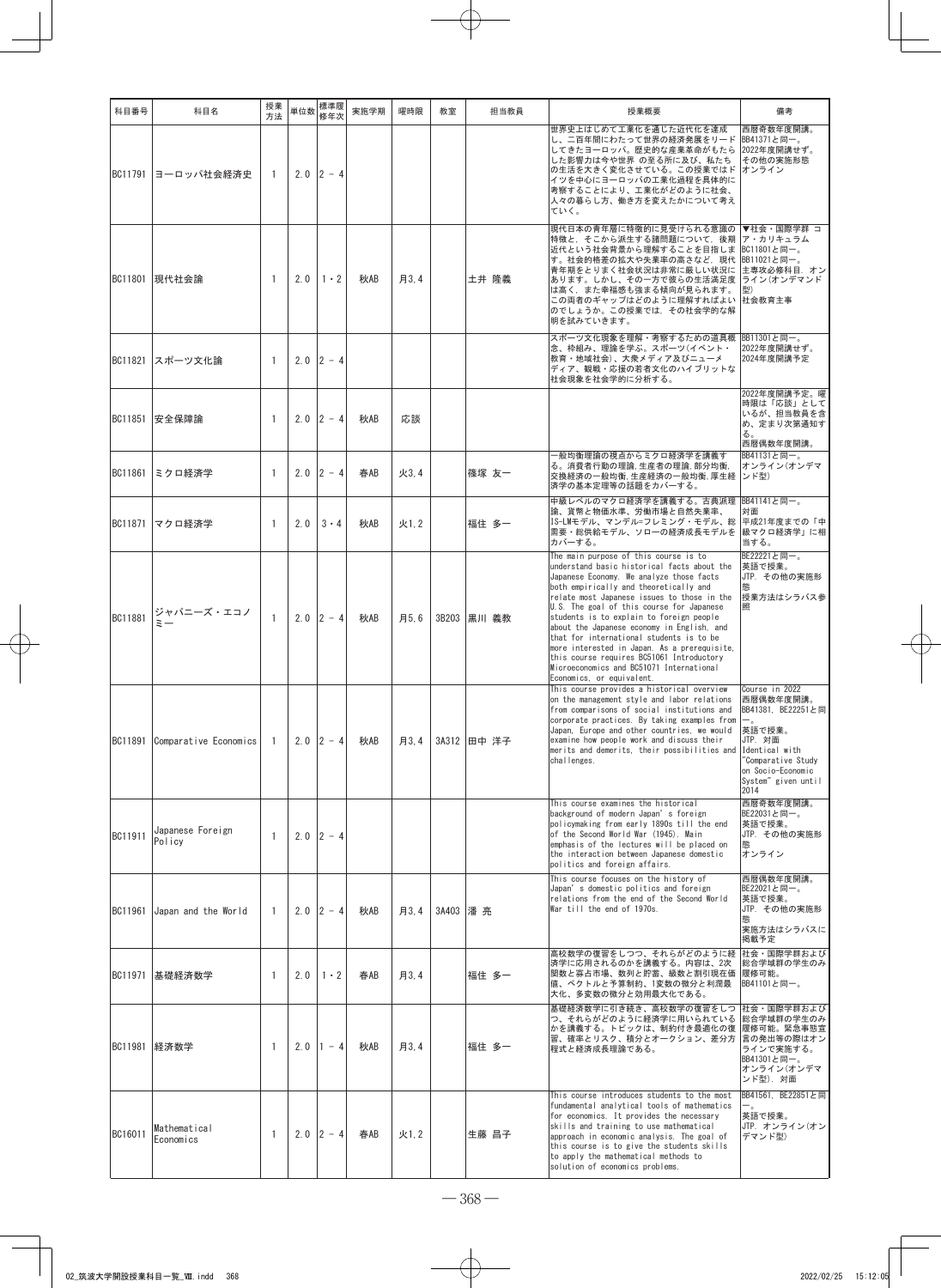| 科目番号           | 科目名                         | 授業<br>方法     | 単位数 | 標準履<br>修年次      | 実施学期 | 曜時限  | 教室       | 担当教員        | 授業概要                                                                                                                                                                                                                                                                                                                                                                                                                                                                                                                                                  | 備考                                                                                                                                                                 |
|----------------|-----------------------------|--------------|-----|-----------------|------|------|----------|-------------|-------------------------------------------------------------------------------------------------------------------------------------------------------------------------------------------------------------------------------------------------------------------------------------------------------------------------------------------------------------------------------------------------------------------------------------------------------------------------------------------------------------------------------------------------------|--------------------------------------------------------------------------------------------------------------------------------------------------------------------|
| BC11791        | ヨーロッパ社会経済史                  | 1            |     | $2.0$ 2 - 4     |      |      |          |             | 世界史上はじめて工業化を通じた近代化を達成<br>し、二百年間にわたって世界の経済発展をリード BB41371と同一。<br>してきたヨーロッパ。歴史的な産業革命がもたら<br>した影響力は今や世界 の至る所に及び、私たち<br>の生活を大きく変化させている。この授業ではド<br>イツを中心にヨーロッパの工業化過程を具体的に<br>考察することにより、工業化がどのように社会、<br>人々の暮らし方、働き方を変えたかについて考え<br>ていく。                                                                                                                                                                                                                                                                                                                       | 西暦奇数年度開講。<br>2022年度開講せず。<br>その他の実施形態<br>オンライン                                                                                                                      |
| BC11801        | 現代社会論                       | $\mathbf{1}$ | 2.0 | $1 \cdot 2$     | 秋AB  | 月3,4 |          | 土井 隆義       | 現代日本の青年層に特徴的に見受けられる意識の<br>特徴と、そこから派生する諸問題について、後期<br>近代という社会背景から理解することを目指しま<br>す。社会的格差の拡大や失業率の高さなど, 現代 BB11021と同一。<br>青年期をとりまく社会状況は非常に厳しい状況に<br>あります。しかし、その一方で彼らの生活満足度  ライン(オンデマンド<br>は高く、また幸福感も強まる傾向が見られます。<br>この両者のギャップはどのように理解すればよい<br>のでしょうか。この授業では、その社会学的な解<br>明を試みていきます。                                                                                                                                                                                                                                                                         | ▼社会・国際学群 コ<br>ア・カリキュラム<br>BC11801と同一。<br>主専攻必修科目. オン<br>型)<br>社会教育主事                                                                                               |
| BC11821        | スポーツ文化論                     | 1            |     | $2.0$ 2 - 4     |      |      |          |             | スポーツ文化現象を理解・考察するための道具概<br>念、枠組み、理論を学ぶ。スポーツ(イベント・<br>教育・地域社会)、大衆メディア及びニューメ<br>ディア、観戦・応援の若者文化のハイブリットな<br>社会現象を社会学的に分析する。                                                                                                                                                                                                                                                                                                                                                                                                                                | BB11301と同一。<br>2022年度開講せず。<br>2024年度開講予定                                                                                                                           |
| <b>BC11851</b> | 安全保障論                       | 1            |     | $2.0$ $ 2 - 4$  | 秋AB  | 応談   |          |             |                                                                                                                                                                                                                                                                                                                                                                                                                                                                                                                                                       | 2022年度開講予定。曜<br>時限は「応談」として<br>いるが、担当教員を含<br>め、定まり次第通知す<br>る。<br>西暦偶数年度開講。                                                                                          |
| BC11861        | ミクロ経済学                      | 1            | 2.0 | $2 - 4$         | 春AB  | 火3.4 |          | 篠塚 友一       | 一般均衡理論の視点からミクロ経済学を講義す<br>る。消費者行動の理論,生産者の理論,部分均衡,<br>交換経済の一般均衡,生産経済の一般均衡,厚生経<br>済学の基本定理等の話題をカバーする。                                                                                                                                                                                                                                                                                                                                                                                                                                                     | BB41131と同一。<br>オンライン(オンデマ<br>ンド型)                                                                                                                                  |
| BC11871        | マクロ経済学                      | 1            | 2.0 | $3 - 4$         | 秋AB  | 火1.2 |          | 福住 多一       | 中級レベルのマクロ経済学を講義する。古典派理 BB41141と同一。<br>論、貨幣と物価水準、労働市場と自然失業率、<br>IS-LMモデル、マンデル=フレミング・モデル、総<br>需要・総供給モデル、ソローの経済成長モデルを<br>カバーする。                                                                                                                                                                                                                                                                                                                                                                                                                          | 面核<br>平成21年度までの「中<br> 級マクロ経済学」に相<br>当する。                                                                                                                           |
| BC11881        | ジャパニーズ・エコノ<br>$\bar{z}$ $-$ | $\mathbf{1}$ |     | $2.0$ $ 2 - 4 $ | 秋AB  | 月5.6 |          | 3B203 黒川 義教 | The main purpose of this course is to<br>understand basic historical facts about the<br>Japanese Economy. We analyze those facts<br>both empirically and theoretically and<br>relate most Japanese issues to those in the<br>U.S. The goal of this course for Japanese<br>students is to explain to foreign people<br>about the Japanese economy in English, and<br>that for international students is to be<br>more interested in Japan. As a prerequisite,<br>this course requires BC51061 Introductory<br>Microeconomics and BC51071 International | BE22221と同一。<br>英語で授業。<br>JTP. その他の実施形<br>授業方法はシラバス参                                                                                                                |
| BC11891        | Comparative Economics       | -1           | 2.0 | $2 - 4$         | 秋AB  | 月3.4 |          | 3A312 田中 洋子 | Economics, or equivalent.<br>This course provides a historical overview<br>on the management style and labor relations<br>from comparisons of social institutions and<br>corporate practices. By taking examples from $\left  \right $<br>Japan, Europe and other countries, we would<br>examine how people work and discuss their<br>merits and demerits, their possibilities and<br>challenges.                                                                                                                                                     | Course in 2022<br>西暦偶数年度開講。<br>BB41381, BE22251と同<br>英語で授業。<br>JTP. 対面<br>Identical with<br>"Comparative Study<br>on Socio-Economic<br>System" given until<br>2014 |
| BC11911        | Japanese Foreign<br>Policy  | $\mathbf{1}$ |     | $2.0$ 2 - 4     |      |      |          |             | This course examines the historical<br>background of modern Japan's foreign<br>policymaking from early 1890s till the end<br>of the Second World War (1945). Main<br>emphasis of the lectures will be placed on<br>the interaction between Japanese domestic<br>politics and foreign affairs.                                                                                                                                                                                                                                                         | 西暦奇数年度開講。<br>BE22031と同一。<br>英語で授業。<br>JTP. その他の実施形<br>熊<br>オンライン                                                                                                   |
| BC11961        | Japan and the World         | 1            |     | $2.0$ 2 - 4     | 秋AB  | 月3.4 | 3A403 潘亮 |             | This course focuses on the history of<br>Japan's domestic politics and foreign<br>relations from the end of the Second World<br>War till the end of 1970s.                                                                                                                                                                                                                                                                                                                                                                                            | 西暦偶数年度開講。<br>BE22021と同一。<br>英語で授業。<br>JTP. その他の実施形<br>実施方法はシラバスに<br>掲載予定                                                                                           |
| BC11971        | 基礎経済数学                      | 1            | 2.0 | $1 \cdot 2$     | 春AB  | 月3.4 |          | 福住 多一       | 高校数学の復習をしつつ、それらがどのように経<br>済学に応用されるのかを講義する。内容は、2次<br>関数と寡占市場、数列と貯蓄、級数と割引現在価<br>値、ベクトルと予算制約、1変数の微分と利潤最<br>大化、多変数の微分と効用最大化である。                                                                                                                                                                                                                                                                                                                                                                                                                           | 社会・国際学群および<br>総合学域群の学生のみ<br>履修可能。<br>BB41101と同一。                                                                                                                   |
| BC11981        | 経済数学                        | -1           | 2.0 | $ 1 - 4 $       | 秋AB  | 月3.4 |          | 福住 多一       | 基礎経済数学に引き続き、高校数学の復習をしつ<br>つ、それらがどのように経済学に用いられている<br>かを講義する。トピックは、制約付き最適化の復<br>習、確率とリスク、積分とオークション、差分方<br>程式と経済成長理論である。                                                                                                                                                                                                                                                                                                                                                                                                                                 | 社会・国際学群および<br>総合学域群の学生のみ<br>履修可能。緊急事態宣<br> 言の発出等の際はオン<br>ラインで実施する。<br>BB41301と同一。<br>オンライン(オンデマ<br>ンド型). 対面                                                        |
| BC16011        | Mathematical<br>Economics   | 1            |     | $2.0$ 2 - 4     | 春AB  | 火1.2 |          | 生藤 昌子       | This course introduces students to the most<br>fundamental analytical tools of mathematics<br>for economics. It provides the necessary<br>skills and training to use mathematical<br>approach in economic analysis. The goal of<br>this course is to give the students skills<br>to apply the mathematical methods to<br>solution of economics problems.                                                                                                                                                                                              | BB41561, BE22851と同<br>$-$ .<br>英語で授業。<br>JTP. オンライン(オン<br>デマンド型)                                                                                                   |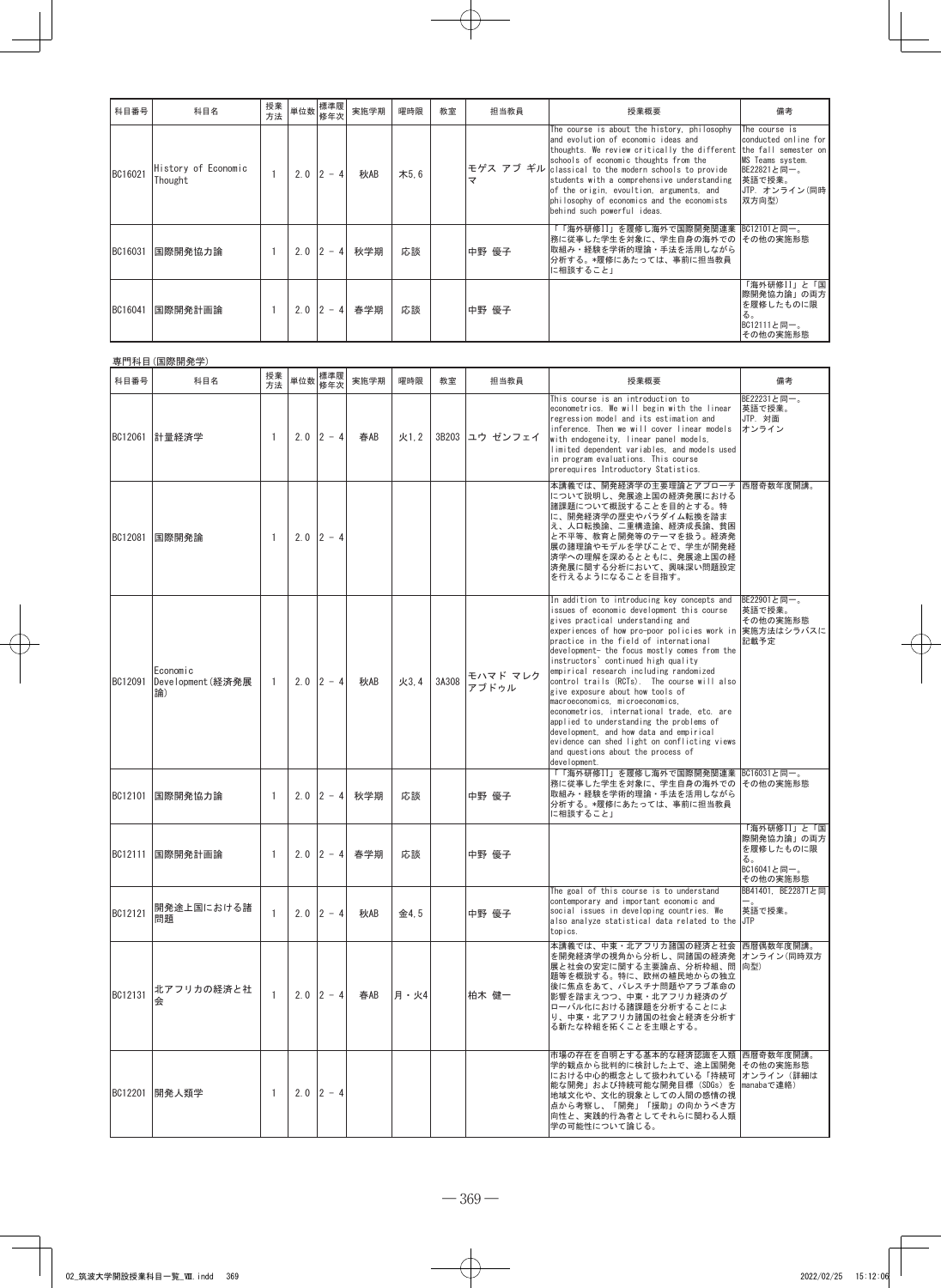| 科目番号    | 科目名                            | 授業<br>方法 |     | □ 単位数 標準履」<br>修年次 | 実施学期 | 曜時限  | 教室 | 担当教員  | 授業概要                                                                                                                                                                                                                                                                                                                                                                                                                             | 備考                                                                                                           |
|---------|--------------------------------|----------|-----|-------------------|------|------|----|-------|----------------------------------------------------------------------------------------------------------------------------------------------------------------------------------------------------------------------------------------------------------------------------------------------------------------------------------------------------------------------------------------------------------------------------------|--------------------------------------------------------------------------------------------------------------|
| BC16021 | History of Economic<br>Thought |          | 2.0 | $2 - 4$           | 秋AB  | 木5.6 |    | マ     | The course is about the history, philosophy<br>and evolution of economic ideas and<br>thoughts. We review critically the different the fall semester on<br>schools of economic thoughts from the<br>モゲス アブ ギル classical to the modern schools to provide<br>students with a comprehensive understanding<br>of the origin, evoultion, arguments, and<br>philosophy of economics and the economists<br>behind such powerful ideas. | The course is<br>conducted online for<br>MS Teams system.<br>BE22821と同一。<br>英語で授業。<br>UTP. オンライン(同時<br>双方向型) |
| BC16031 | 国際開発協力論                        |          |     | $2.0$ $ 2 - 4 $   | 秋学期  | 応談   |    | 中野 優子 | 「「海外研修II」を履修し海外で国際開発関連業  BC12101と同一。<br>務に従事した学生を対象に、学生自身の海外での その他の実施形態<br>取組み・経験を学術的理論・手法を活用しながら<br>分析する。*履修にあたっては、事前に担当教員<br>に相談すること」                                                                                                                                                                                                                                                                                          |                                                                                                              |
| BC16041 | 国際開発計画論                        |          |     | $2.0$ $ 2 - 4 $   | 春学期  | 応談   |    | 中野 優子 |                                                                                                                                                                                                                                                                                                                                                                                                                                  | 「海外研修II」と「国<br>際開発協力論」の両方<br>を履修したものに限<br>る。<br>BC12111と同一。<br>その他の実施形態                                      |

|         | 専門科目(国際開発学)                        |              |     |                 |                 |      |       |                   |                                                                                                                                                                                                                                                                                                                                                                                                                                                                                                                                                                                                                                                                                                                                         |                                                                         |
|---------|------------------------------------|--------------|-----|-----------------|-----------------|------|-------|-------------------|-----------------------------------------------------------------------------------------------------------------------------------------------------------------------------------------------------------------------------------------------------------------------------------------------------------------------------------------------------------------------------------------------------------------------------------------------------------------------------------------------------------------------------------------------------------------------------------------------------------------------------------------------------------------------------------------------------------------------------------------|-------------------------------------------------------------------------|
| 科目番号    | 科目名                                | 授業<br>方法     | 単位数 | 標準履<br>修年次      | 実施学期            | 曜時限  | 教室    | 担当教員              | 授業概要                                                                                                                                                                                                                                                                                                                                                                                                                                                                                                                                                                                                                                                                                                                                    | 備考                                                                      |
| BC12061 | 計量経済学                              | -1           |     | $2.0$ 2 - 4     | 春AB             | 火1.2 |       | 3B203 ユウ ゼンフェイ    | This course is an introduction to<br>econometrics. We will begin with the linear<br>regression model and its estimation and<br>inference. Then we will cover linear models<br>with endogeneity. linear panel models.<br>limited dependent variables, and models used<br>in program evaluations. This course<br>prerequires Introductory Statistics.                                                                                                                                                                                                                                                                                                                                                                                     | BE22231と同一。<br>英語で授業。<br>JTP. 対面<br>オンライン                               |
| BC12081 | 国際開発論                              | $\mathbf{1}$ |     | $2.0$ 2 - 4     |                 |      |       |                   | 本講義では、開発経済学の主要理論とアプローチ  西暦奇数年度開講。<br>について説明し、発展途上国の経済発展における<br>諸課題について概説することを目的とする。特<br>に、開発経済学の歴史やパラダイム転換を踏ま<br>え、人口転換論、二重構造論、経済成長論、貧困<br>と不平等、教育と開発等のテーマを扱う。経済発<br>展の諸理論やモデルを学びことで、学生が開発経<br>済学への理解を深めるとともに、発展途上国の経<br>済発展に関する分析において、興味深い問題設定<br>を行えるようになることを目指す。                                                                                                                                                                                                                                                                                                                                                                                                                                                                     |                                                                         |
| BC12091 | Economic<br>Development(経済発展<br>論) | -1           | 2.0 | $2 - 4$         | 秋AB             | 火3.4 | 3A308 | モハマド マレク<br>アブドゥル | In addition to introducing key concepts and<br>issues of economic development this course<br>gives practical understanding and<br>experiences of how pro-poor policies work in 実施方法はシラバスに<br>practice in the field of international<br>development- the focus mostly comes from the<br>instructors' continued high quality<br>empirical research including randomized<br>control trails (RCTs). The course will also<br>give exposure about how tools of<br>macroeconomics, microeconomics,<br>econometrics, international trade, etc. are<br>applied to understanding the problems of<br>development, and how data and empirical<br>evidence can shed light on conflicting views<br>and questions about the process of<br>development. | BE22901と同一。<br>英語で授業。<br>その他の実施形態<br>記載予定                               |
| BC12101 | 国際開発協力論                            | 1            |     | $2.0$ $ 2 - 4$  | 秋学期             | 応談   |       | 中野 優子             | 「「海外研修II」を履修し海外で国際開発関連業<br>務に従事した学生を対象に、学生自身の海外での<br>取組み・経験を学術的理論・手法を活用しながら<br>分析する。*履修にあたっては、事前に担当教員<br>に相談すること」                                                                                                                                                                                                                                                                                                                                                                                                                                                                                                                                                                                                                       | BC16031と同一。<br>その他の実施形態                                                 |
| BC12111 | 国際開発計画論                            | 1            |     | $2.0$ $ 2 - 4 $ | 春学期             | 応談   |       | 中野 優子             |                                                                                                                                                                                                                                                                                                                                                                                                                                                                                                                                                                                                                                                                                                                                         | 「海外研修II」と「国<br>際開発協力論」の両方<br>を履修したものに限<br>る。<br>BC16041と同一。<br>その他の実施形態 |
| BC12121 | 開発途上国における諸<br>問題                   | $\mathbf{1}$ |     | $2.0$ $ 2 - 4$  | 秋AB             | 金4.5 |       | 中野 優子             | The goal of this course is to understand<br>contemporary and important economic and<br>social issues in developing countries. We<br>also analyze statistical data related to the<br>topics.                                                                                                                                                                                                                                                                                                                                                                                                                                                                                                                                             | BB41401, BE22871と同<br><sup>-</sup><br>英語で授業。<br><b>JTP</b>              |
| BC12131 | 北アフリカの経済と社<br>会                    | 1            |     |                 | $2.0$ 2 - 4 春AB | 月・火4 |       | 柏木 健一             | 本講義では、中東・北アフリカ諸国の経済と社会  西暦偶数年度開講。<br>を開発経済学の視角から分析し、同諸国の経済発  オンライン(同時双方<br>展と社会の安定に関する主要論点、分析枠組、問<br>題等を概説する。特に、欧州の植民地からの独立<br>後に焦点をあて、パレスチナ問題やアラブ革命の<br>影響を踏まえつつ、中東・北アフリカ経済のグ<br>ローバル化における諸課題を分析することによ<br>り、中東・北アフリカ諸国の社会と経済を分析す<br>る新たな枠組を拓くことを主眼とする。                                                                                                                                                                                                                                                                                                                                                                                                                                                                                 | 向型)                                                                     |
|         | BC12201 開発人類学                      | 1            |     | $2.0$ 2 - 4     |                 |      |       |                   | 市場の存在を自明とする基本的な経済認識を人類 西暦奇数年度開講。<br>学的観点から批判的に検討した上で、途上国開発 その他の実施形態<br>における中心的概念として扱われている「持続可 オンライン (詳細は<br>能な開発」および持続可能な開発目標 (SDGs) を  manabaで連絡)<br>地域文化や、文化的現象としての人間の感情の視<br>点から考察し、「開発」「援助」の向かうべき方<br>向性と、実践的行為者としてそれらに関わる人類<br>学の可能性について論じる。                                                                                                                                                                                                                                                                                                                                                                                                                                                                                       |                                                                         |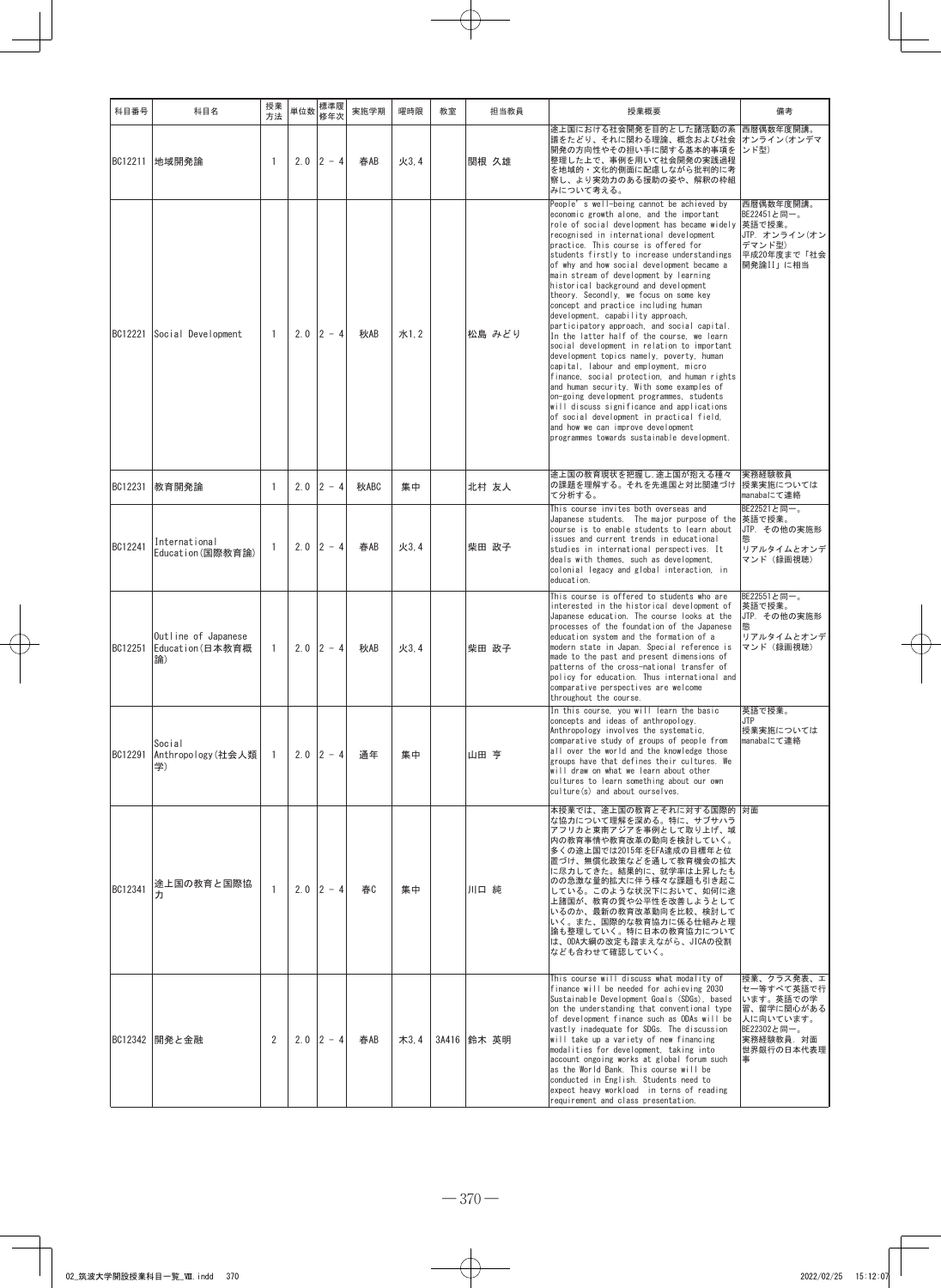| 科目番号    | 科目名                                           | 授業<br>方法     | 単位数 | 標準履<br>修年次  | 実施学期 | 曜時限  | 教室 | 担当教員        | 授業概要                                                                                                                                                                                                                                                                                                                                                                                                                                                                                                                                                                                                                                                                                                                                                                                                                                                                                                                                                                                                                                                                                        | 備考                                                                                                               |
|---------|-----------------------------------------------|--------------|-----|-------------|------|------|----|-------------|---------------------------------------------------------------------------------------------------------------------------------------------------------------------------------------------------------------------------------------------------------------------------------------------------------------------------------------------------------------------------------------------------------------------------------------------------------------------------------------------------------------------------------------------------------------------------------------------------------------------------------------------------------------------------------------------------------------------------------------------------------------------------------------------------------------------------------------------------------------------------------------------------------------------------------------------------------------------------------------------------------------------------------------------------------------------------------------------|------------------------------------------------------------------------------------------------------------------|
|         | BC12211   地域開発論                               | -1           |     | $2.0$ 2 - 4 | 春AB  | 火3.4 |    | 関根 久雄       | 途上国における社会開発を目的とした諸活動の系<br>譜をたどり、それに関わる理論、概念および社会<br>開発の方向性やその担い手に関する基本的事項を<br>整理した上で、事例を用いて社会開発の実践過程<br>を地域的・文化的側面に配慮しながら批判的に考<br>察し、より実効力のある援助の姿や、解釈の枠組<br>みについて考える。                                                                                                                                                                                                                                                                                                                                                                                                                                                                                                                                                                                                                                                                                                                                                                                                                                                                                                                       | 西暦偶数年度開講。<br>オンライン(オンデマ<br>ンド型)                                                                                  |
| BC12221 | Social Development                            | -1           | 2.0 | $ 2 - 4 $   | 秋AB  | 水1.2 |    | 松島 みどり      | People's well-being cannot be achieved by<br>economic growth alone, and the important<br>role of social development has became widely<br>recognised in international development<br>practice. This course is offered for<br>students firstly to increase understandings<br>of why and how social development became a<br>main stream of development by learning<br>historical background and development<br>theory. Secondly, we focus on some key<br>concept and practice including human<br>development, capability approach,<br>participatory approach, and social capital.<br>In the latter half of the course, we learn<br>social development in relation to important<br>development topics namely, poverty, human<br>capital, labour and employment, micro<br>finance, social protection, and human rights<br>and human security. With some examples of<br>on-going development programmes, students<br>will discuss significance and applications<br>of social development in practical field.<br>and how we can improve development<br>programmes towards sustainable development. | 西暦偶数年度開講。<br>BE22451と同一。<br> 英語で授業。<br>JTP. オンライン(オン<br>デマンド型)<br>平成20年度まで「社会<br>開発論II」に相当                       |
| BC12231 | 教育開発論                                         | -1           | 2.0 | $ 2 - 4$    | 秋ABC | 集中   |    | 北村 友人       | 途上国の教育現状を把握し、途上国が抱える種々<br>の課題を理解する。それを先進国と対比関連づけ<br>て分析する。                                                                                                                                                                                                                                                                                                                                                                                                                                                                                                                                                                                                                                                                                                                                                                                                                                                                                                                                                                                                                                  | 実務経験教員<br>授業実施については<br>manabaにて連絡                                                                                |
| BC12241 | International<br>Education(国際教育論)             | -1           |     | $2.0$ 2 - 4 | 春AB  | 火3.4 |    | 柴田 政子       | This course invites both overseas and<br>Japanese students. The major purpose of the<br>course is to enable students to learn about<br>issues and current trends in educational<br>studies in international perspectives. It<br>deals with themes, such as development,<br>colonial legacy and global interaction, in<br>education.                                                                                                                                                                                                                                                                                                                                                                                                                                                                                                                                                                                                                                                                                                                                                         | BE22521と同一。<br>英語で授業。<br>JTP. その他の実施形<br>リアルタイムとオンデ<br>マンド(録画視聴)                                                 |
| BC12251 | Outline of Japanese<br>Education (日本教育概<br>論) | $\mathbf{1}$ |     | $2.0$ 2 - 4 | 秋AB  | 火3.4 |    | 柴田 政子       | This course is offered to students who are<br>interested in the historical development of<br>Japanese education. The course looks at the<br>processes of the foundation of the Japanese<br>education system and the formation of a<br>modern state in Japan. Special reference is<br>made to the past and present dimensions of<br>patterns of the cross-national transfer of<br>policy for education. Thus international and<br>comparative perspectives are welcome<br>throughout the course.                                                                                                                                                                                                                                                                                                                                                                                                                                                                                                                                                                                             | BE22551と同一。<br>英語で授業。<br>JTP. その他の実施形<br>リアルタイムとオンデ<br>マンド (録画視聴)                                                |
| BC12291 | Social<br>Anthropology(社会人類 <br>学)            | -1           |     | $2.0$ 2 - 4 | 通年   | 集中   |    | 山田 亨        | In this course, you will learn the basic<br>concepts and ideas of anthropology.<br>Anthropology involves the systematic,<br>comparative study of groups of people from<br>all over the world and the knowledge those<br>groups have that defines their cultures. We<br>will draw on what we learn about other<br>cultures to learn something about our own<br>culture(s) and about ourselves.                                                                                                                                                                                                                                                                                                                                                                                                                                                                                                                                                                                                                                                                                               | 英語で授業。<br><b>JTP</b><br> 授業実施については<br>manabaにて連絡                                                                 |
| BC12341 | 途上国の教育と国際協                                    | $\mathbf{1}$ |     | $2.0$ 2 - 4 | 春    | 集中   |    | 川口 純        | 本授業では、途上国の教育とそれに対する国際的  対面<br>な協力について理解を深める。特に、サブサハラ<br>アフリカと東南アジアを事例として取り上げ、域<br>内の教育事情や教育改革の動向を検討していく。<br>多くの途上国では2015年をEFA達成の目標年と位<br>置づけ、無償化政策などを通して教育機会の拡大<br>に尽力してきた。結果的に、就学率は上昇したも<br>のの急激な量的拡大に伴う様々な課題も引き起こ<br>している。このような状況下において、如何に途<br>上諸国が、教育の質や公平性を改善しようとして<br>いるのか、最新の教育改革動向を比較、検討して<br>いく。また、国際的な教育協力に係る仕組みと理<br>論も整理していく。特に日本の教育協力について<br>は、ODA大綱の改定も踏まえながら、JICAの役割<br>なども合わせて確認していく。                                                                                                                                                                                                                                                                                                                                                                                                                                                                                                                                                                                                                                                                                        |                                                                                                                  |
|         | BC12342   開発と金融                               | 2            |     | $2.0$ 2 - 4 | 春AB  | 木3.4 |    | 3A416 鈴木 英明 | This course will discuss what modality of<br>finance will be needed for achieving 2030<br>Sustainable Development Goals (SDGs), based<br>on the understanding that conventional type<br>of development finance such as ODAs will be<br>vastly inadequate for SDGs. The discussion<br>will take up a variety of new financing<br>modalities for development, taking into<br>account ongoing works at global forum such<br>as the World Bank. This course will be<br>conducted in English. Students need to<br>expect heavy workload in terns of reading<br>requirement and class presentation.                                                                                                                                                                                                                                                                                                                                                                                                                                                                                               | 授業、クラス発表、エ<br>セー等すべて英語で行<br>います。英語での学<br>習、留学に関心がある<br>人に向いています。<br>BE22302と同一。<br> 実務経験教員.対面<br>世界銀行の日本代表理<br>事 |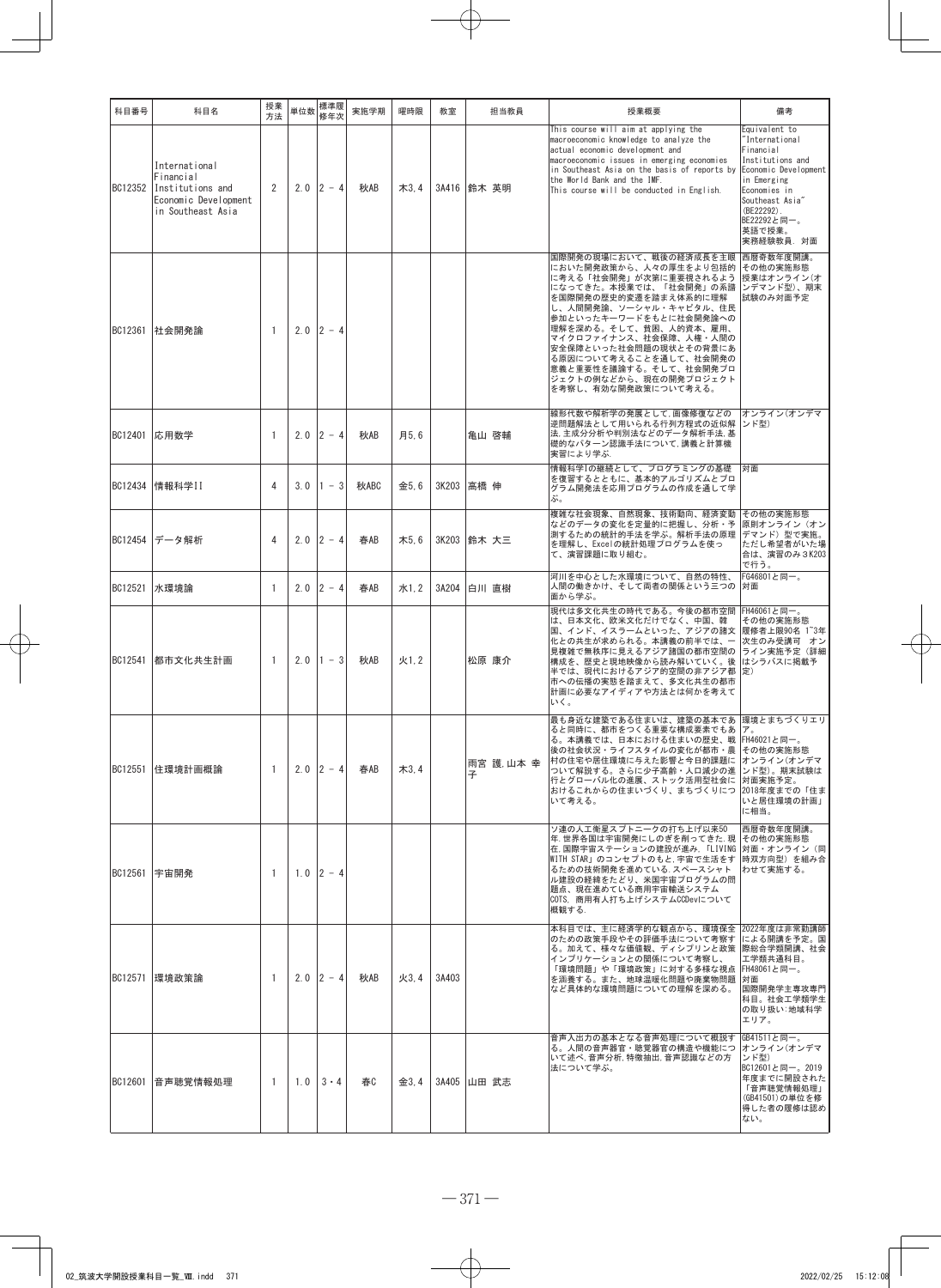| 科目番号    | 科目名                                                                                         | 授業<br>方法     | 単位数 | 標準履<br>修年次  | 実施学期 | 曜時限  | 教室    | 担当教員          | 授業概要                                                                                                                                                                                                                                                                                                                                                                   | 備考                                                                                                                                                                                            |
|---------|---------------------------------------------------------------------------------------------|--------------|-----|-------------|------|------|-------|---------------|------------------------------------------------------------------------------------------------------------------------------------------------------------------------------------------------------------------------------------------------------------------------------------------------------------------------------------------------------------------------|-----------------------------------------------------------------------------------------------------------------------------------------------------------------------------------------------|
| BC12352 | International<br>Financial<br>Institutions and<br>Economic Development<br>in Southeast Asia | 2            | 2.0 | $2 - 4$     | 秋AB  | 木3,4 |       | 3A416 鈴木 英明   | This course will aim at applying the<br>macroeconomic knowledge to analyze the<br>actual economic development and<br>macroeconomic issues in emerging economies<br>in Southeast Asia on the basis of reports by<br>the World Bank and the IMF.<br>This course will be conducted in English.                                                                            | Equivalent to<br>International<br>Financial<br>Institutions and<br>Economic Development<br>in Emerging<br>Economies in<br>Southeast Asia"<br>(BE22292)<br>BE22292と同一。<br>英語で授業。<br>実務経験教員. 対面 |
| BC12361 | 社会開発論                                                                                       | -1           |     | $2.0$ 2 - 4 |      |      |       |               | 国際開発の現場において、戦後の経済成長を主眼<br>においた開発政策から、人々の厚生をより包括的<br>に考える「社会開発」が次第に重要視されるよう<br>になってきた。本授業では、「社会開発」の系譜<br>を国際開発の歴史的変遷を踏まえ体系的に理解<br>し、人間開発論、ソーシャル・キャピタル、住民<br>参加といったキーワードをもとに社会開発論への<br>理解を深める。そして、貧困、人的資本、雇用、<br>マイクロファイナンス、社会保障、人権・人間の<br> 安全保障といった社会問題の現状とその背景にあ<br>る原因について考えることを通して、社会開発の<br>意義と重要性を議論する。そして、社会開発プロ<br>ジェクトの例などから、現在の開発プロジェクト<br>を考察し、有効な開発政策について考える。 | 西暦奇数年度開講。<br>その他の実施形態<br>授業はオンライン(オ<br>ンデマンド型)、期末<br>試験のみ対面予定                                                                                                                                 |
| BC12401 | 応用数学                                                                                        | -1           | 2.0 | $2 - 4$     | 秋AB  | 月5.6 |       | 亀山 啓輔         | 線形代数や解析学の発展として、画像修復などの<br>逆問題解法として用いられる行列方程式の近似解<br>法,主成分分析や判別法などのデータ解析手法, 基<br> 礎的なパターン認識手法について,講義と計算機<br>実習により学ぶ.                                                                                                                                                                                                                                                    | オンライン(オンデマ<br>ンド型)                                                                                                                                                                            |
| BC12434 | 情報科学II                                                                                      | 4            | 3.0 | $1 - 3$     | 秋ABC | 金5.6 | 3K203 | 高橋 伸          | 情報科学Iの継続として、プログラミングの基礎<br>を復習するとともに、基本的アルゴリズムとプロ<br>グラム開発法を応用プログラムの作成を通して学<br>ぶ。                                                                                                                                                                                                                                                                                       | 対面                                                                                                                                                                                            |
| BC12454 | データ解析                                                                                       | 4            | 2.0 | $2 - 4$     | 春AB  | 木5.6 | 3K203 | 鈴木 大三         | 複雑な社会現象、自然現象、技術動向、経済変動<br>などのデータの変化を定量的に把握し、分析・予<br>測するための統計的手法を学ぶ。解析手法の原理<br>を理解し、Excelの統計処理プログラムを使っ<br>て、演習課題に取り組む。                                                                                                                                                                                                                                                  | その他の実施形態<br>原則オンライン(オン<br>デマンド)型で実施。<br>ただし希望者がいた場<br>合は、演習のみ3K203<br>で行う。                                                                                                                    |
| BC12521 | 水環境論                                                                                        | -1           | 2.0 | $12 - 4$    | 春AB  | 水1.2 | 3A204 | 白川 直樹         | 河川を中心とした水環境について、自然の特性、<br>人間の働きかけ、そして両者の関係という三つの<br>面から学ぶ。                                                                                                                                                                                                                                                                                                             | FG46801と同一。<br>対面                                                                                                                                                                             |
| BC12541 | 都市文化共生計画                                                                                    | $\mathbf{1}$ | 2.0 | $1 - 3$     | 秋AB  | 火1.2 |       | 松原 康介         | 現代は多文化共生の時代である。今後の都市空間<br>は、日本文化、欧米文化だけでなく、中国、韓<br>国、インド、イスラームといった、アジアの諸文<br>化との共生が求められる。本講義の前半では、一<br>見複雑で無秩序に見えるアジア諸国の都市空間の<br>構成を、歴史と現地映像から読み解いていく。後<br>半では、現代におけるアジア的空間の非アジア都<br> 市への伝播の実態を踏まえて、多文化共生の都市<br>計画に必要なアイディアや方法とは何かを考えて<br>いく。                                                                                                                          | FH46061と同一。<br>その他の実施形態<br> 履修者上限90名 1~3年<br>次生のみ受講可 オン<br>ライン実施予定(詳細<br>はシラバスに掲載予<br>定)                                                                                                      |
| BC12551 | 住環境計画概論                                                                                     | -1           |     | $2.0$ 2 - 4 | 春AB  | 木3,4 |       | 雨宮 護,山本幸<br>子 | 最も身近な建築である住まいは、建築の基本であ 環境とまちづくりエリ<br>ると同時に、都市をつくる重要な構成要素でもあ<br>る。本講義では、日本における住まいの歴史、戦 FH46021と同一。<br>後の社会状況・ライフスタイルの変化が都市・農 その他の実施形態<br>村の住宅や居住環境に与えた影響と今日的課題に<br>ついて解説する。さらに少子高齢・人口減少の進<br>行とグローバル化の進展、ストック活用型社会に 対面実施予定。<br>おけるこれからの住まいづくり、まちづくりにつ<br>いて考える。                                                                                                         | オンライン(オンデマ<br>ンド型)。期末試験は<br>2018年度までの「住ま<br>いと居住環境の計画」<br>に相当。                                                                                                                                |
|         | BC12561 宇宙開発                                                                                | -1           |     | $1.0$ 2 - 4 |      |      |       |               | ソ連の人工衛星スプトニークの打ち上げ以来50<br>年.世界各国は宇宙開発にしのぎを削ってきた. 現<br>在.国際宇宙ステーションの建設が進み, 「LIVING 対面・オンライン (同<br> WITH STAR」のコンセプトのもと, 宇宙で生活をす.<br>るための技術開発を進めている. スペースシャト<br>ル建設の経緯をたどり、米国宇宙プログラムの問<br>題点、現在進めている商用宇宙輸送システム<br>COTS. 商用有人打ち上げシステムCCDevについて<br>概観する.                                                                                                                   | 西暦奇数年度開講。<br>その他の実施形態<br> 時双方向型)を組み合<br>わせて実施する。                                                                                                                                              |
| BC12571 | 環境政策論                                                                                       | $\mathbf{1}$ |     | $2.0$ 2 - 4 | 秋AB  | 火3.4 | 3A403 |               | 本科目では、主に経済学的な観点から、環境保全  2022年度は非常勤講師<br>のための政策手段やその評価手法について考察す<br>る。加えて、様々な価値観、ディシプリンと政策  際総合学類開講、社会<br>インプリケーションとの関係について考察し、<br>「環境問題」や「環境政策」に対する多様な視点<br>を涵養する。また、地球温暖化問題や廃棄物問題<br>など具体的な環境問題についての理解を深める。                                                                                                                                                            | による開講を予定。国<br>工学類共通科目。<br>FH48061と同一。<br>面校<br>国際開発学主専攻専門<br>科目。社会工学類学生<br>の取り扱い:地域科学<br>エリア。                                                                                                 |
| BC12601 | 音声聴覚情報処理                                                                                    | -1           | 1.0 | $3 \cdot 4$ | 春C   | 金3.4 |       | 3A405 山田 武志   | 音声入出力の基本となる音声処理について概説す<br>る。人間の音声器官・聴覚器官の構造や機能につ<br>いて述べ,音声分析,特徴抽出,音声認識などの方<br>法について学ぶ。                                                                                                                                                                                                                                                                                | GB41511と同一。<br>オンライン(オンデマ<br>ンド型)<br>BC12601と同一。2019<br>年度までに開設された<br>「音声聴覚情報処理」<br>(GB41501)の単位を修<br>得した者の履修は認め<br>ない。                                                                       |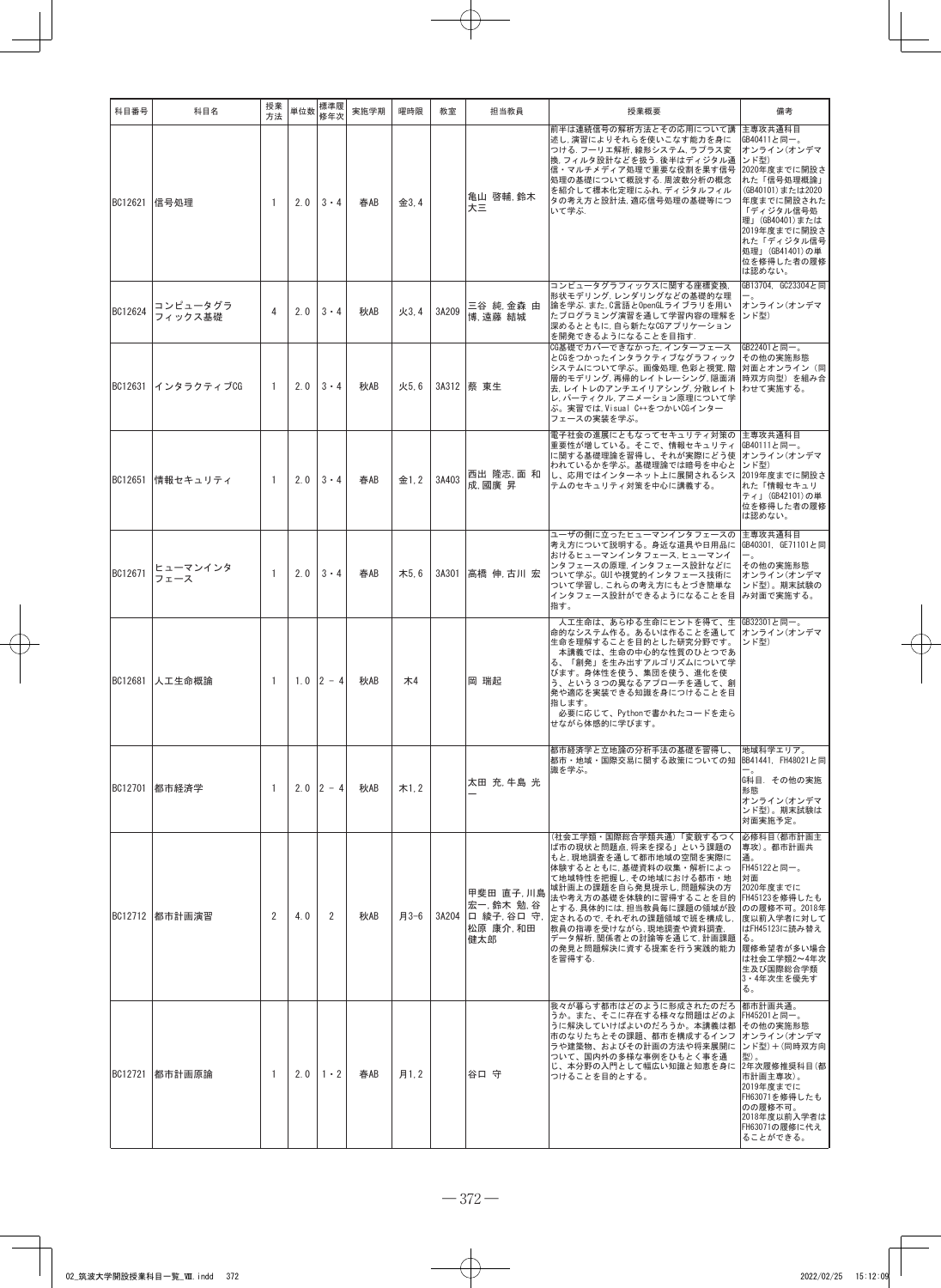| 科目番号    | 科目名                 | 授業<br>方法       | 単位数 | 標準履<br>修年次      | 実施学期 | 曜時限   | 教室    | 担当教員                                                      | 授業概要                                                                                                                                                                                                                                                                                                                                        | 備考                                                                                                                                                                                                        |
|---------|---------------------|----------------|-----|-----------------|------|-------|-------|-----------------------------------------------------------|---------------------------------------------------------------------------------------------------------------------------------------------------------------------------------------------------------------------------------------------------------------------------------------------------------------------------------------------|-----------------------------------------------------------------------------------------------------------------------------------------------------------------------------------------------------------|
| BC12621 | 信号処理                | -1             | 2.0 | $3 \cdot 4$     | 春AB  | 金3.4  |       | 亀山 啓輔.鈴木<br>大三                                            | 前半は連続信号の解析方法とその応用について講  主専攻共通科目<br>述し、演習によりそれらを使いこなす能力を身に<br>つける. フーリエ解析, 線形システム, ラプラス変<br>換. フィルタ設計などを扱う. 後半はディジタル通<br>信・マルチメディア処理で重要な役割を果す信号<br>処理の基礎について概説する. 周波数分析の概念<br>を紹介して標本化定理にふれ、ディジタルフィル<br>タの考え方と設計法, 適応信号処理の基礎等につ<br>いて学ぶ.                                                                                                     | GB40411と同一。<br>オンライン(オンデマ<br>ンド型)<br>2020年度までに開設さ<br>れた「信号処理概論」<br>(GB40101)または2020<br>年度までに開設された<br>「ディジタル信号処<br>理」(GB40401)または<br>2019年度までに開設さ<br>れた「ディジタル信号<br>処理」 (GB41401)の単<br>位を修得した者の履修<br>は認めない。 |
| BC12624 | コンピュータグラ<br>フィックス基礎 | 4              | 2.0 | $3 \cdot 4$     | 秋AB  | 火3.4  | 3A209 | 三谷 純 金森 由<br>博,遠藤 結城                                      | コンピュータグラフィックスに関する座標変換.<br>形状モデリング、レンダリングなどの基礎的な理<br>論を学ぶ.また.C言語とOpenGLライブラリを用い<br>たプログラミング演習を通して学習内容の理解を<br>深めるとともに, 自ら新たなCGアプリケーション<br>を開発できるようになることを目指す.                                                                                                                                                                                  | GB13704, GC23304と同<br>オンライン(オンデマ<br>ンド型)                                                                                                                                                                  |
| BC12631 | インタラクティブCG          | 1              | 2.0 | $3 \cdot 4$     | 秋AB  | 火5.6  |       | 3A312 蔡 東牛                                                | CG基礎でカバーできなかった. インターフェース<br>とCGをつかったインタラクティブなグラフィック<br>システムについて学ぶ。画像処理,色彩と視覚,階<br>層的モデリング,再帰的レイトレーシング,隠面消  時双方向型) を組み合<br>去, レイトレのアンチエイリアシング, 分散レイト わせて実施する。<br>レ、パーティクル、アニメーション原理について学<br>ぶ。実習では, Visual C++をつかいCGインター<br>フェースの実装を学ぶ。                                                                                                      | GB22401と同一。<br>その他の実施形態<br> 対面とオンライン(同                                                                                                                                                                    |
| BC12651 | 情報セキュリティ            | -1             | 2.0 | $3 \cdot 4$     | 春AB  | 金1, 2 | 3A403 | 西出 隆志,面 和<br>成.國廣昇                                        | 電子社会の進展にともなってセキュリティ対策の<br>重要性が増している。そこで、情報セキュリティ<br>に関する基礎理論を習得し、それが実際にどう使<br>われているかを学ぶ。基礎理論では暗号を中心と<br>し、応用ではインターネット上に展開されるシス<br>テムのセキュリティ対策を中心に講義する。                                                                                                                                                                                      | 主専攻共通科目<br>GB40111と同一。<br>オンライン(オンデマ<br>ンド型)<br>2019年度までに開設さ<br>れた「情報セキュリ<br>ティ」 (GB42101)の単<br>位を修得した者の履修<br>は認めない。                                                                                      |
| BC12671 | ヒューマンインタ<br>フェース    | -1             | 2.0 | $3 \cdot 4$     | 春AB  | 木5.6  |       | 3A301  高橋 伸,古川 宏                                          | ユーザの側に立ったヒューマンインタフェースの<br>考え方について説明する。身近な道具や日用品に<br>おけるヒューマンインタフェース、ヒューマンイ<br>ンタフェースの原理,インタフェース設計などに<br>ついて学ぶ。GUIや視覚的インタフェース技術に<br>ついて学習し,これらの考え方にもとづき簡単な<br>インタフェース設計ができるようになることを目<br>指す。                                                                                                                                                  | 主専攻共通科目<br> GB40301, GE71101と同<br>その他の実施形態<br>オンライン(オンデマ<br>ンド型)。期末試験の<br> み対面で実施する。                                                                                                                      |
| BC12681 | 人工生命概論              | -1             |     | $1.0$ $ 2 - 4 $ | 秋AB  | 木4    |       | 岡 瑞起                                                      | 人工生命は、あらゆる生命にヒントを得て、生  GB32301と同一。<br>命的なシステム作る。あるいは作ることを通して オンライン(オンデマ<br>生命を理解することを目的とした研究分野です。<br>本講義では、生命の中心的な性質のひとつであ<br>る、「創発」を生み出すアルゴリズムについて学<br>びます。身体性を使う、集団を使う、進化を使<br>う、という3つの異なるアプローチを通して、創<br>発や適応を実装できる知識を身につけることを目<br>指します。<br>必要に応じて、Pythonで書かれたコードを走ら<br>せながら体感的に学びます。                                                     | ンド型)                                                                                                                                                                                                      |
| BC12701 | 都市経済学               | -1             |     | $2.0$ 2 - 4     | 秋AB  | 木1,2  |       | 太田 充 牛島 光                                                 | 都市経済学と立地論の分析手法の基礎を習得し、<br>都市・地域・国際交易に関する政策についての知 BB41441. FH48021と同<br>識を学ぶ。                                                                                                                                                                                                                                                                | 地域科学エリア。<br>G科目. その他の実施<br>形態<br>オンライン(オンデマ<br>ンド型)。期末試験は<br>対面実施予定。                                                                                                                                      |
|         | BC12712 都市計画演習      | $\overline{2}$ | 4.0 | 2               | 秋AB  | 月3-6  | 3A204 | 甲斐田 直子 川島<br>宏一, 鈴木 勉. 谷<br>口 綾子,谷口 守,<br>松原 康介,和田<br>健太郎 | (社会工学類・国際総合学類共通)「変貌するつく<br>ば市の現状と問題点, 将来を探る」という課題の<br>もと, 現地調査を通して都市地域の空間を実際に<br>体験するとともに, 基礎資料の収集・解析によっ<br>て地域特性を把握し, その地域における都市・地<br>域計画上の課題を自ら発見提示し, 問題解決の方<br>法や考え方の基礎を体験的に習得することを目的<br>とする. 具体的には, 担当教員毎に課題の領域が設<br>定されるので、それぞれの課題領域で班を構成し、<br>教員の指導を受けながら、現地調査や資料調査.<br>データ解析, 関係者との討論等を通じて, 計画課題<br>の発見と問題解決に資する提案を行う実践的能力<br>を習得する. | 必修科目(都市計画主<br>専攻)。都市計画共<br>通.<br>FH45122と同一。<br>対面<br>2020年度までに<br>FH45123を修得したも<br>のの履修不可。2018年<br>度以前入学者に対して<br>はFH45123に読み替え<br>る。<br>履修希望者が多い場合<br>は社会エ学類2~4年次<br>生及び国際総合学類<br>3・4年次生を優先す<br>る。       |
| BC12721 | 都市計画原論              | -1             | 2.0 | $1 \cdot 2$     | 春AB  | 月1.2  |       | 谷口 守                                                      | 我々が暮らす都市はどのように形成されたのだろ<br>うか。また、そこに存在する様々な問題はどのよ<br>うに解決していけばよいのだろうか。本講義は都<br>市のなりたちとその課題、都市を構成するインフ<br>ラや建築物、およびその計画の方法や将来展開に<br>ついて、国内外の多様な事例をひもとく事を通<br>じ、本分野の入門として幅広い知識と知恵を身に<br>つけることを目的とする。                                                                                                                                           | 都市計画共通。<br> FH45201と同一。<br>その他の実施形態<br>オンライン(オンデマ<br>ンド型)+(同時双方向<br>型)。<br> 2年次履修推奨科目(都<br>市計画主専攻)。<br> 2019年度までに<br>FH63071を修得したも<br>のの履修不可。<br>2018年度以前入学者は<br>FH63071の履修に代え<br>ることができる。                |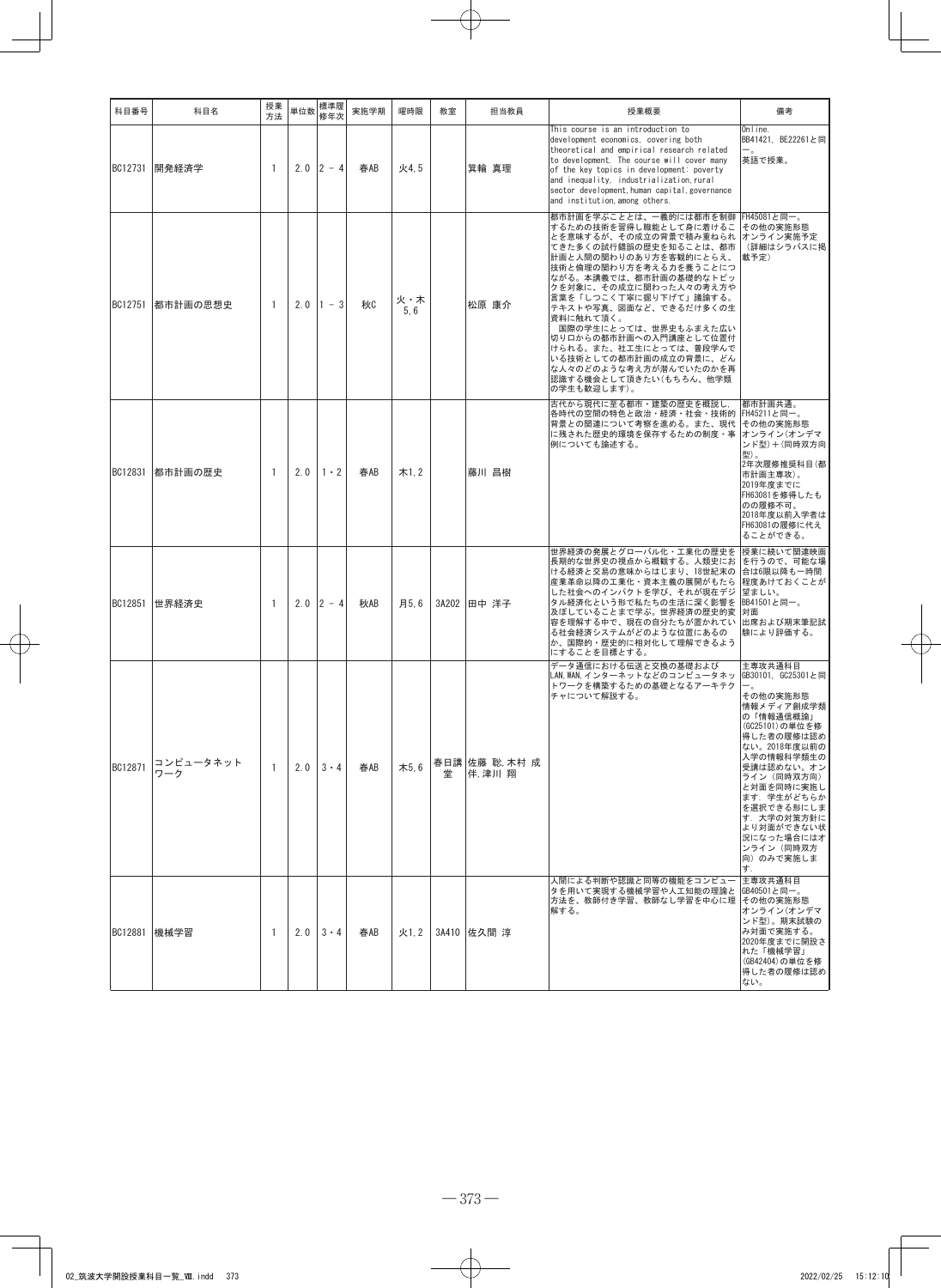| 科目番号    | 科目名              | 授業<br>方法       | 単位数 | 標準履<br>修年次  | 実施学期 | 曜時限         | 教室 | 担当教員                   | 授業概要                                                                                                                                                                                                                                                                                                                                                                                                                                                              | 備考                                                                                                                                                                                                                                                                                    |
|---------|------------------|----------------|-----|-------------|------|-------------|----|------------------------|-------------------------------------------------------------------------------------------------------------------------------------------------------------------------------------------------------------------------------------------------------------------------------------------------------------------------------------------------------------------------------------------------------------------------------------------------------------------|---------------------------------------------------------------------------------------------------------------------------------------------------------------------------------------------------------------------------------------------------------------------------------------|
| BC12731 | 開発経済学            | $\overline{1}$ | 2.0 | $12 - 4$    | 春AB  | 火4.5        |    | 箕輪 真理                  | This course is an introduction to<br>development economics, covering both<br>theoretical and empirical research related<br>to development. The course will cover many<br>of the key topics in development: poverty<br>and inequality, industrialization, rural<br>sector development human capital governance<br>and institution, among others.                                                                                                                   | Online.<br>BB41421, BE22261と同<br>英語で授業。                                                                                                                                                                                                                                               |
| BC12751 | 都市計画の思想史         | $\mathbf{1}$   | 2.0 | $1 - 3$     | 秋    | 火・木<br>5, 6 |    | 松原 康介                  | 都市計画を学ぶこととは、一義的には都市を制御<br>するための技術を習得し職能として身に着けるこ<br>とを意味するが、その成立の背景で積み重ねられ オンライン実施予定<br>てきた多くの試行錯誤の歴史を知ることは、都市<br>計画と人間の関わりのあり方を客観的にとらえ、<br>技術と倫理の関わり方を考える力を養うことにつ<br>ながる。本講義では、都市計画の基礎的なトピッ<br>クを対象に、その成立に関わった人々の考え方や<br>言葉を「しつこく丁寧に掘り下げて」議論する。<br>テキストや写真、図面など、できるだけ多くの生<br>資料に触れて頂く。<br>国際の学生にとっては、世界史もふまえた広い<br>切り口からの都市計画への入門講座として位置付<br>けられる。また、社工生にとっては、普段学んで<br>いる技術としての都市計画の成立の背景に、どん<br>な人々のどのような考え方が潜んでいたのかを再<br>認識する機会として頂きたい(もちろん、他学類<br>の学生も歓迎します)。 | FH45081と同一。<br>その他の実施形態<br>(詳細はシラバスに掲<br> 載予定)                                                                                                                                                                                                                                        |
| BC12831 | 都市計画の歴史          | 1              | 2.0 | $1 \cdot 2$ | 春AB  | 木1.2        |    | 藤川 昌樹                  | 古代から現代に至る都市·建築の歴史を概説し,<br>各時代の空間の特色と政治・経済・社会・技術的<br>背景との関連について考察を進める。また、現代<br>に残された歴史的環境を保存するための制度・事<br>例についても論述する。                                                                                                                                                                                                                                                                                                                                               | 都市計画共通。<br> FH45211と同一。<br>その他の実施形態<br>オンライン(オンデマ<br>ンド型)+(同時双方向<br>型)。<br> 2年次履修推奨科目(都<br> 市計画主専攻)。<br>2019年度までに<br> FH63081を修得したも<br>のの履修不可。<br> 2018年度以前入学者は<br>FH63081の履修に代え<br>ることができる。                                                                                          |
| BC12851 | 世界経済史            | 1              | 2.0 | $2 - 4$     | 秋AB  | 月5.6        |    | 3A202 田中 洋子            | 世界経済の発展とグローバル化・工業化の歴史を<br>長期的な世界史の視点から概観する。人類史にお<br>ける経済と交易の意味からはじまり、18世紀末の<br>産業革命以降の工業化・資本主義の展開がもたら<br>した社会へのインパクトを学び、それが現在デジ<br>タル経済化という形で私たちの生活に深く影響を<br>及ぼしていることまで学ぶ。世界経済の歴史的変<br>容を理解する中で、現在の自分たちが置かれてい<br>る社会経済システムがどのような位置にあるの<br>か、国際的・歴史的に相対化して理解できるよう<br>にすることを目標とする。                                                                                                                                                                                  | 授業に続いて関連映画<br> を行うので、可能な場<br>合は6限以降も一時間<br>程度あけておくことが<br>望ましい。<br>BB41501と同一。<br>面核<br>出席および期末筆記試<br>験により評価する。                                                                                                                                                                        |
| BC12871 | コンピュータネット<br>ワーク | 1              | 2.0 | $3 \cdot 4$ | 春AB  | 木5.6        | 堂  | 春日講 佐藤 聡 木村 成<br>伴,津川翔 | データ通信における伝送と交換の基礎および<br>LAN, WAN, インターネットなどのコンピュータネッ<br>トワークを構築するための基礎となるアーキテク<br>チャについて解説する。                                                                                                                                                                                                                                                                                                                                                                     | 主専攻共通科目<br>GB30101, GC25301と同<br>その他の実施形態<br>情報メディア創成学類<br>の「情報通信概論」<br>(GC25101)の単位を修<br> 得した者の履修は認め<br>ない。2018年度以前の<br>入学の情報科学類生の<br>受講は認めない。オン<br>ライン(同時双方向)<br>と対面を同時に実施し<br>ます. 学生がどちらか<br>を選択できる形にしま<br>す. 大学の対策方針に<br>より対面ができない状<br>況になった場合にはオ<br>ンライン(同時双方<br>向)のみで実施しま<br>す. |
| BC12881 | 機械学習             | 1              | 2.0 | $3 \cdot 4$ | 春AB  | 火1.2        |    | 3A410  佐久間 淳           | 人間による判断や認識と同等の機能をコンピュー<br>タを用いて実現する機械学習や人工知能の理論と<br>方法を、教師付き学習、教師なし学習を中心に理 その他の実施形態<br>解する。                                                                                                                                                                                                                                                                                                                                                                       | 主専攻共通科目<br> GB40501と同一。<br>オンライン(オンデマ<br>ンド型)。期末試験の<br>み対面で実施する。<br>2020年度までに開設さ<br>れた「機械学習」<br>(GB42404)の単位を修<br>得した者の履修は認め<br>ない。                                                                                                                                                   |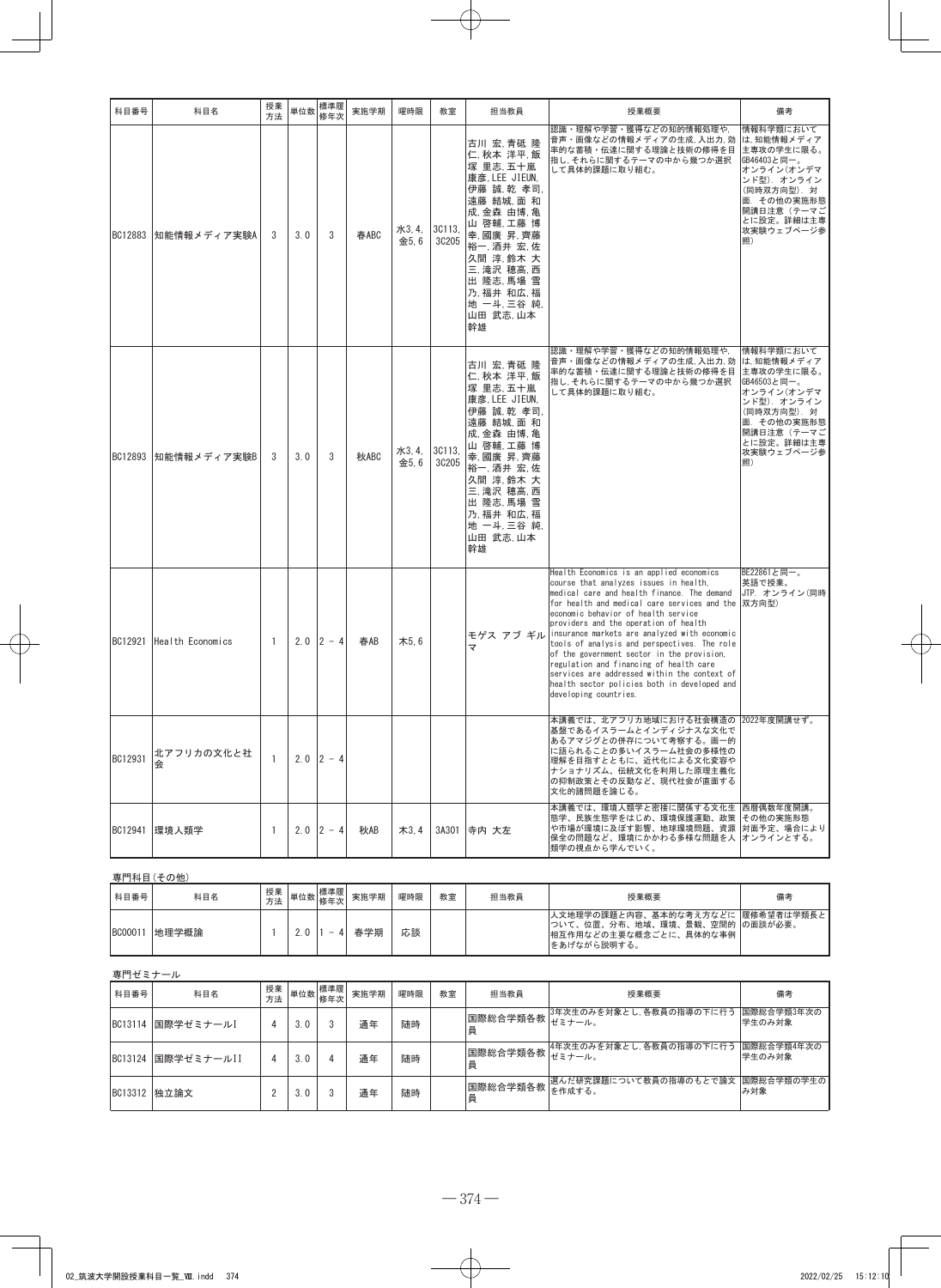| 科目番号           | 科目名              | 授業<br>方法     | 単位数 | 標準履<br>修年次  | 実施学期 | 曜時限            | 教室              | 担当教員                                                                                                                                                                                                                          | 授業概要                                                                                                                                                                                                                                                                                                                                                                                                                                                                                                                                                                                          | 備考                                                                                                                                                              |
|----------------|------------------|--------------|-----|-------------|------|----------------|-----------------|-------------------------------------------------------------------------------------------------------------------------------------------------------------------------------------------------------------------------------|-----------------------------------------------------------------------------------------------------------------------------------------------------------------------------------------------------------------------------------------------------------------------------------------------------------------------------------------------------------------------------------------------------------------------------------------------------------------------------------------------------------------------------------------------------------------------------------------------|-----------------------------------------------------------------------------------------------------------------------------------------------------------------|
| <b>BC12883</b> | 知能情報メディア実験A      | 3            | 3.0 | 3           | 春ABC | 水3, 4,<br>金5.6 | 3C113,<br>30205 | 古川 宏,青砥 隆<br>仁, 秋本 洋平, 飯<br>塚 里志,五十嵐<br>康彦, LEE JIEUN,<br>伊藤 誠, 乾孝司,<br>遠藤 結城 面 和<br>成,金森 由博,亀<br>山 啓輔,工藤 博<br>幸,國廣昇,齊藤<br>裕一, 酒井宏, 佐<br>久間 淳, 鈴木 大<br>三, 滝沢 穂高, 西<br>出 隆志,馬場 雪<br>乃,福井和広.福<br>地 一斗, 三谷 純<br>山田 武志,山本<br>幹雄   | 認識・理解や学習・獲得などの知的情報処理や,<br>音声・画像などの情報メディアの生成、入出力、効<br>率的な蓄積・伝達に関する理論と技術の修得を目<br>指し、それらに関するテーマの中から幾つか選択<br>して具体的課題に取り組む。                                                                                                                                                                                                                                                                                                                                                                                                                                                                        | 情報科学類において<br>は. 知能情報メディア<br>主専攻の学生に限る。<br>GB46403と同一。<br>オンライン(オンデマ<br>ンド型). オンライン<br>(同時双方向型).対<br>面. その他の実施形態<br>開講日注意(テーマご<br>とに設定。詳細は主専<br>攻実験ウェブページ参<br>照) |
| BC12893        | 知能情報メディア実験B      | 3            | 3.0 | 3           | 秋ABC | 水3, 4,<br>金5.6 | 3C113,<br>30205 | 古川 宏,青砥 隆<br>仁, 秋本洋平, 飯<br>塚 里志. 五十嵐<br>康彦. LEE JIEUN.<br>伊藤 誠,乾 孝司<br>遠藤 結城,面 和<br>成,金森 由博,亀<br>山 啓輔.工藤 博<br>幸,國廣 昇,齊藤<br>裕一, 酒井宏, 佐<br>久間 淳, 鈴木 大<br>三, 滝沢 穂高. 西<br>出 隆志,馬場 雪<br>乃,福井 和広,福<br>地 一斗, 三谷 純,<br>山田 武志,山本<br>幹雄 | 認識・理解や学習・獲得などの知的情報処理や,<br>音声・画像などの情報メディアの生成、入出力、効<br>率的な蓄積・伝達に関する理論と技術の修得を目<br>指し、それらに関するテーマの中から幾つか選択<br>して具体的課題に取り組む。                                                                                                                                                                                                                                                                                                                                                                                                                                                                        | 情報科学類において<br>は,知能情報メディア<br>主専攻の学生に限る。<br>GB46503と同一。<br>オンライン(オンデマ<br>ンド型). オンライン<br>(同時双方向型). 対<br>面. その他の実施形態<br>開講日注意(テーマご<br>とに設定。詳細は主専<br>攻実験ウェブページ参<br>照) |
| BC12921        | Health Economics | $\mathbf{1}$ | 2.0 | $2 - 4$     | 春AB  | 木5.6           |                 | ₹                                                                                                                                                                                                                             | Health Economics is an applied economics<br>course that analyzes issues in health,<br>medical care and health finance. The demand<br>for health and medical care services and the<br>economic behavior of health service<br>providers and the operation of health<br>モゲス アブ ギル insurance markets are analyzed with economic<br>tools of analysis and perspectives. The role<br>of the government sector in the provision,<br>regulation and financing of health care<br>services are addressed within the context of<br>health sector policies both in developed and<br>developing countries. | BE22861と同一。<br>英語で授業。<br>JTP. オンライン (同時<br> 双方向型)                                                                                                               |
| BC12931        | 北アフリカの文化と社<br>会  | $\mathbf{1}$ |     | $2.0$ 2 - 4 |      |                |                 |                                                                                                                                                                                                                               | 本講義では、北アフリカ地域における社会構造の 2022年度開講せず。<br>基盤であるイスラームとインディジナスな文化で<br>あるアマジグとの併存について考察する。画一的<br>に語られることの多いイスラーム社会の多様性の<br>理解を目指すとともに、近代化による文化変容や<br>ナショナリズム、伝統文化を利用した原理主義化<br>の抑制政策とその反動など、現代社会が直面する<br>文化的諸問題を論じる。                                                                                                                                                                                                                                                                                                                                                                                 |                                                                                                                                                                 |
|                | BC12941 環境人類学    | $\mathbf{1}$ |     | $2.0$ 2 - 4 | 秋AB  | 木3,4           |                 | 3A301 寺内 大左                                                                                                                                                                                                                   | 本講義では、環境人類学と密接に関係する文化生 西暦偶数年度開講。<br>態学、民族生態学をはじめ、環境保護運動、政策  その他の実施形態<br>や市場が環境に及ぼす影響、地球環境問題、資源  対面予定、場合により<br>保全の問題など、環境にかかわる多様な問題を人 オンラインとする。<br>類学の視点から学んでいく。                                                                                                                                                                                                                                                                                                                                                                                                                               |                                                                                                                                                                 |
|                | 専門科目(その他)        |              |     |             |      |                |                 |                                                                                                                                                                                                                               |                                                                                                                                                                                                                                                                                                                                                                                                                                                                                                                                                                                               |                                                                                                                                                                 |
|                |                  | <b>摇</b> 举   |     | <b>捶淮</b> 屎 |      |                |                 |                                                                                                                                                                                                                               |                                                                                                                                                                                                                                                                                                                                                                                                                                                                                                                                                                                               |                                                                                                                                                                 |

| 科目番号          | 科目名   | 授業<br>方法 | 単位数 | 標準履<br>修年次 | 実施学期 | 曜時限 | 教室 | 担当教員 | 授業概要                                                                                                             | 備考 |
|---------------|-------|----------|-----|------------|------|-----|----|------|------------------------------------------------------------------------------------------------------------------|----|
| <b>BC0001</b> | 地理学概論 |          |     | -          | 春学期  | 応談  |    |      | 人文地理学の課題と内容、基本的な考え方などに 履修希望者は学類長と<br> ついて、位置、分布、地域、環境、景観、空間的  の面談が必要。<br> 相互作用などの主要な概念ごとに、具体的な事例<br> をあげながら説明する。 |    |

| 専門ゼミナール |              |          |     |                       |      |     |    |                        |                          |                      |
|---------|--------------|----------|-----|-----------------------|------|-----|----|------------------------|--------------------------|----------------------|
| 科目番号    | 科目名          | 授業<br>方法 |     | 標準履<br>···  単位数   修年次 | 実施学期 | 曜時限 | 教室 | 担当教員                   | 授業概要                     | 備考                   |
| BC13114 | 国際学ゼミナール]    |          | 3.0 |                       | 通年   | 随時  |    | 国際総合学類各教 ざミナール。<br>員   | 3年次生のみを対象とし, 各教員の指導の下に行う | 国際総合学類3年次の<br>学生のみ対象 |
| BC13124 | 国際学ゼミナールⅠⅠ   | 4        | 3.0 |                       | 通年   | 随時  |    | 国際総合学類各教   モベーンン。<br>員 | 4年次生のみを対象とし、各教員の指導の下に行う  | 国際総合学類4年次の<br>学生のみ対象 |
|         | BC13312 独立論文 |          | 3.0 |                       | 通年   | 随時  |    | 国際総合学類各教  を作成する。<br>員  | 選んだ研究課題について教員の指導のもとで論文   | 国際総合学類の学生の <br>み対象   |